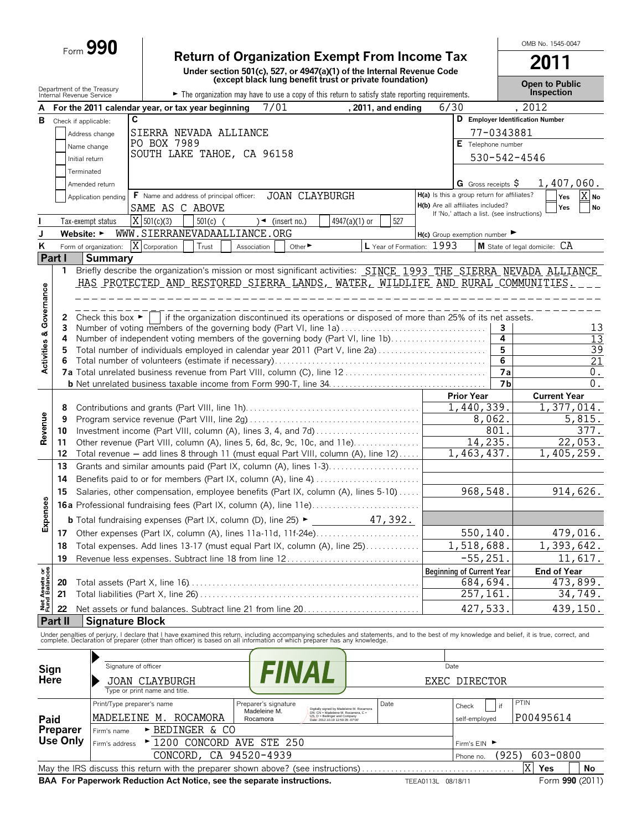# Form **990 Return of Organization Exempt From Income Tax**

**Under section 501(c), 527, or 4947(a)(1) of the Internal Revenue Code (except black lung benefit trust or private foundation)**

**2011**

OMB No. 1545-0047

|                                | Department of the Treasury<br>Internal Revenue Service |                                      |                                                   |            |                                                                        |                                                                                                                                                      | (except black lung benent trust or private loundation)                                          |                                             |                                            |                      | <b>Open to Public</b><br><b>Inspection</b>                                                                                                                                                                                        |
|--------------------------------|--------------------------------------------------------|--------------------------------------|---------------------------------------------------|------------|------------------------------------------------------------------------|------------------------------------------------------------------------------------------------------------------------------------------------------|-------------------------------------------------------------------------------------------------|---------------------------------------------|--------------------------------------------|----------------------|-----------------------------------------------------------------------------------------------------------------------------------------------------------------------------------------------------------------------------------|
|                                |                                                        |                                      |                                                   |            |                                                                        |                                                                                                                                                      | The organization may have to use a copy of this return to satisfy state reporting requirements. |                                             |                                            |                      |                                                                                                                                                                                                                                   |
|                                |                                                        | $\mathbf c$                          | For the 2011 calendar year, or tax year beginning |            | 7/01                                                                   |                                                                                                                                                      | , 2011, and ending                                                                              | 6/30                                        |                                            |                      | 2012                                                                                                                                                                                                                              |
| В                              | Check if applicable:                                   |                                      |                                                   |            |                                                                        |                                                                                                                                                      |                                                                                                 |                                             |                                            |                      | D Employer Identification Number                                                                                                                                                                                                  |
|                                |                                                        | Address change                       | SIERRA NEVADA ALLIANCE                            |            |                                                                        |                                                                                                                                                      |                                                                                                 |                                             |                                            | 77-0343881           |                                                                                                                                                                                                                                   |
|                                |                                                        | Name change                          | PO BOX 7989                                       |            |                                                                        |                                                                                                                                                      |                                                                                                 |                                             | E Telephone number                         |                      |                                                                                                                                                                                                                                   |
|                                | Initial return                                         |                                      |                                                   |            | SOUTH LAKE TAHOE, CA 96158                                             |                                                                                                                                                      |                                                                                                 |                                             |                                            |                      | 530-542-4546                                                                                                                                                                                                                      |
|                                | Terminated                                             |                                      |                                                   |            |                                                                        |                                                                                                                                                      |                                                                                                 |                                             |                                            |                      |                                                                                                                                                                                                                                   |
|                                |                                                        | Amended return                       |                                                   |            |                                                                        |                                                                                                                                                      |                                                                                                 |                                             | G Gross receipts $$$                       |                      | 1,407,060.                                                                                                                                                                                                                        |
|                                |                                                        | Application pending                  | <b>F</b> Name and address of principal officer:   |            |                                                                        | <b>JOAN CLAYBURGH</b>                                                                                                                                |                                                                                                 | H(a) Is this a group return for affiliates? |                                            |                      | X No<br>Yes                                                                                                                                                                                                                       |
|                                |                                                        |                                      | SAME AS C ABOVE                                   |            |                                                                        |                                                                                                                                                      |                                                                                                 | H(b) Are all affiliates included?           |                                            |                      | No<br>Yes                                                                                                                                                                                                                         |
|                                |                                                        |                                      | $X$ 501(c)(3)                                     |            |                                                                        |                                                                                                                                                      | 527                                                                                             |                                             | If 'No,' attach a list. (see instructions) |                      |                                                                                                                                                                                                                                   |
|                                |                                                        | Tax-exempt status                    |                                                   | $501(c)$ ( | $\rightarrow$ (insert no.)                                             |                                                                                                                                                      | 4947(a)(1) or                                                                                   |                                             |                                            |                      |                                                                                                                                                                                                                                   |
| J                              | Website: $\blacktriangleright$                         |                                      |                                                   |            | WWW.SIERRANEVADAALLIANCE.ORG                                           |                                                                                                                                                      |                                                                                                 | $H(c)$ Group exemption number               |                                            |                      |                                                                                                                                                                                                                                   |
| K                              |                                                        | Form of organization:                | $\overline{X}$ Corporation                        | Trust      | Association                                                            | Other $\blacktriangleright$                                                                                                                          | L Year of Formation: 1993                                                                       |                                             |                                            |                      | M State of legal domicile: CA                                                                                                                                                                                                     |
|                                | Part I                                                 | <b>Summary</b>                       |                                                   |            |                                                                        |                                                                                                                                                      |                                                                                                 |                                             |                                            |                      |                                                                                                                                                                                                                                   |
|                                | 1.                                                     |                                      |                                                   |            |                                                                        |                                                                                                                                                      |                                                                                                 |                                             |                                            |                      | Briefly describe the organization's mission or most significant activities: SINCE 1993 THE SIERRA NEVADA ALLIANCE                                                                                                                 |
|                                |                                                        |                                      |                                                   |            |                                                                        |                                                                                                                                                      | <u>HAS PROTECTED AND RESTORED SIERRA LANDS, WATER, WILDLIFE AND RURAL COMMUNITIES.</u>          |                                             |                                            |                      |                                                                                                                                                                                                                                   |
|                                |                                                        |                                      |                                                   |            |                                                                        |                                                                                                                                                      |                                                                                                 |                                             |                                            |                      |                                                                                                                                                                                                                                   |
|                                |                                                        |                                      |                                                   |            |                                                                        |                                                                                                                                                      |                                                                                                 |                                             |                                            |                      |                                                                                                                                                                                                                                   |
|                                | 2                                                      | Check this box $\blacktriangleright$ |                                                   |            |                                                                        |                                                                                                                                                      | if the organization discontinued its operations or disposed of more than 25% of its net assets. |                                             |                                            |                      |                                                                                                                                                                                                                                   |
|                                | 3.                                                     |                                      |                                                   |            |                                                                        |                                                                                                                                                      | Number of voting members of the governing body (Part VI, line 1a)                               |                                             |                                            | 3                    | 13                                                                                                                                                                                                                                |
|                                | 4                                                      |                                      |                                                   |            |                                                                        |                                                                                                                                                      | Number of independent voting members of the governing body (Part VI, line 1b)                   |                                             |                                            | 4<br>5               | 13<br>39                                                                                                                                                                                                                          |
|                                |                                                        |                                      |                                                   |            |                                                                        |                                                                                                                                                      | Total number of individuals employed in calendar year 2011 (Part V, line 2a)                    |                                             |                                            | 6                    | 21                                                                                                                                                                                                                                |
| Activities & Governance        | 6                                                      |                                      |                                                   |            |                                                                        |                                                                                                                                                      |                                                                                                 |                                             |                                            |                      |                                                                                                                                                                                                                                   |
|                                |                                                        |                                      |                                                   |            |                                                                        |                                                                                                                                                      |                                                                                                 |                                             |                                            | 7a<br>7 <sub>b</sub> | 0.<br>$\overline{0}$ .                                                                                                                                                                                                            |
|                                |                                                        |                                      |                                                   |            |                                                                        |                                                                                                                                                      |                                                                                                 |                                             |                                            |                      |                                                                                                                                                                                                                                   |
|                                |                                                        |                                      |                                                   |            |                                                                        |                                                                                                                                                      |                                                                                                 |                                             | <b>Prior Year</b>                          |                      | <b>Current Year</b>                                                                                                                                                                                                               |
|                                | 8                                                      |                                      |                                                   |            |                                                                        |                                                                                                                                                      |                                                                                                 |                                             | 1,440,339.                                 |                      | 1,377,014.                                                                                                                                                                                                                        |
| Revenue                        | 9                                                      |                                      |                                                   |            |                                                                        |                                                                                                                                                      |                                                                                                 |                                             | 8,062.                                     |                      | 5,815.                                                                                                                                                                                                                            |
|                                | 10                                                     |                                      |                                                   |            |                                                                        |                                                                                                                                                      |                                                                                                 |                                             |                                            | 801.                 | 377.                                                                                                                                                                                                                              |
|                                | 11                                                     |                                      |                                                   |            |                                                                        |                                                                                                                                                      | Other revenue (Part VIII, column (A), lines 5, 6d, 8c, 9c, 10c, and 11e)                        |                                             | 14,235.                                    |                      | 22,053.                                                                                                                                                                                                                           |
|                                | 12                                                     |                                      |                                                   |            |                                                                        |                                                                                                                                                      | Total revenue - add lines 8 through 11 (must equal Part VIII, column (A), line 12)              |                                             | 1,463,437.                                 |                      | 1,405,259.                                                                                                                                                                                                                        |
|                                | 13                                                     |                                      |                                                   |            |                                                                        |                                                                                                                                                      | Grants and similar amounts paid (Part IX, column (A), lines 1-3)                                |                                             |                                            |                      |                                                                                                                                                                                                                                   |
|                                | 14                                                     |                                      |                                                   |            |                                                                        |                                                                                                                                                      | Benefits paid to or for members (Part IX, column (A), line 4)                                   |                                             |                                            |                      |                                                                                                                                                                                                                                   |
|                                | 15                                                     |                                      |                                                   |            |                                                                        |                                                                                                                                                      | Salaries, other compensation, employee benefits (Part IX, column (A), lines 5-10)               |                                             | 968,548.                                   |                      | 914,626.                                                                                                                                                                                                                          |
|                                |                                                        |                                      |                                                   |            |                                                                        |                                                                                                                                                      |                                                                                                 |                                             |                                            |                      |                                                                                                                                                                                                                                   |
| Expenses                       |                                                        |                                      |                                                   |            |                                                                        | <b>b</b> Total fundraising expenses (Part IX, column (D), line 25) $\blacktriangleright$                                                             | 47,392.                                                                                         |                                             |                                            |                      |                                                                                                                                                                                                                                   |
|                                |                                                        |                                      |                                                   |            |                                                                        |                                                                                                                                                      |                                                                                                 |                                             |                                            |                      |                                                                                                                                                                                                                                   |
|                                |                                                        |                                      |                                                   |            |                                                                        |                                                                                                                                                      | 17 Other expenses (Part IX, column (A), lines 11a-11d, 11f-24e)                                 |                                             | 550,140.                                   |                      | 479,016.                                                                                                                                                                                                                          |
|                                | 18                                                     |                                      |                                                   |            |                                                                        |                                                                                                                                                      | Total expenses. Add lines 13-17 (must equal Part IX, column (A), line 25)                       |                                             | 1,518,688.                                 |                      | 1,393,642.                                                                                                                                                                                                                        |
|                                | 19                                                     |                                      |                                                   |            |                                                                        |                                                                                                                                                      | Revenue less expenses. Subtract line 18 from line 12                                            |                                             | $-55,251.$                                 |                      | 11,617.                                                                                                                                                                                                                           |
|                                |                                                        |                                      |                                                   |            |                                                                        |                                                                                                                                                      |                                                                                                 |                                             | <b>Beginning of Current Year</b>           |                      | <b>End of Year</b>                                                                                                                                                                                                                |
| Net Assets or<br>Fund Balances | 20                                                     |                                      |                                                   |            |                                                                        |                                                                                                                                                      |                                                                                                 |                                             | 684,694.                                   |                      | 473,899.                                                                                                                                                                                                                          |
|                                | 21                                                     |                                      |                                                   |            |                                                                        |                                                                                                                                                      |                                                                                                 |                                             | 257,161                                    |                      | 34,749.                                                                                                                                                                                                                           |
|                                | 22                                                     |                                      |                                                   |            |                                                                        |                                                                                                                                                      | Net assets or fund balances. Subtract line 21 from line 20                                      |                                             | 427,533.                                   |                      | 439,150.                                                                                                                                                                                                                          |
|                                | Part II                                                | <b>Signature Block</b>               |                                                   |            |                                                                        |                                                                                                                                                      |                                                                                                 |                                             |                                            |                      |                                                                                                                                                                                                                                   |
|                                |                                                        |                                      |                                                   |            |                                                                        |                                                                                                                                                      |                                                                                                 |                                             |                                            |                      | Under penalties of perjury, I declare that I have examined this return, including accompanying schedules and statements, and to the best of my knowledge and belief, it is true, correct, and<br>complete. Declaration of prepare |
|                                |                                                        |                                      |                                                   |            |                                                                        |                                                                                                                                                      |                                                                                                 |                                             |                                            |                      |                                                                                                                                                                                                                                   |
|                                |                                                        |                                      |                                                   |            |                                                                        |                                                                                                                                                      |                                                                                                 |                                             |                                            |                      |                                                                                                                                                                                                                                   |
| Sign                           |                                                        | Signature of officer                 |                                                   |            |                                                                        |                                                                                                                                                      |                                                                                                 | Date                                        |                                            |                      |                                                                                                                                                                                                                                   |
| Here                           |                                                        |                                      | JOAN CLAYBURGH                                    |            |                                                                        |                                                                                                                                                      |                                                                                                 |                                             | EXEC DIRECTOR                              |                      |                                                                                                                                                                                                                                   |
|                                |                                                        |                                      | Type or print name and title.                     |            |                                                                        |                                                                                                                                                      |                                                                                                 |                                             |                                            |                      |                                                                                                                                                                                                                                   |
|                                |                                                        | Print/Type preparer's name           |                                                   |            | Preparer's signature                                                   |                                                                                                                                                      | Date                                                                                            |                                             | Check                                      | if                   | PTIN                                                                                                                                                                                                                              |
|                                |                                                        |                                      | MADELEINE M. ROCAMORA                             |            | Madeleine M.                                                           | Digitally signed by Madeleine M. Rocamora<br>DN: CN = Madeleine M. Rocamora, C =<br>US, O = Bedinger and Company<br>Date: 2012.10.19 12:50:35 -07'00 |                                                                                                 |                                             |                                            |                      | P00495614                                                                                                                                                                                                                         |
| Paid                           |                                                        |                                      |                                                   |            | Rocamora                                                               |                                                                                                                                                      |                                                                                                 |                                             | self-employed                              |                      |                                                                                                                                                                                                                                   |
|                                | Preparer<br>Use Only                                   | Firm's name                          | ► BEDINGER & CO                                   |            |                                                                        |                                                                                                                                                      |                                                                                                 |                                             |                                            |                      |                                                                                                                                                                                                                                   |
|                                |                                                        | Firm's address                       |                                                   |            | ▶ 1200 CONCORD AVE STE 250                                             |                                                                                                                                                      |                                                                                                 |                                             | Firm's EIN ▶                               |                      |                                                                                                                                                                                                                                   |
|                                |                                                        |                                      | CONCORD,                                          |            | CA 94520-4939                                                          |                                                                                                                                                      |                                                                                                 |                                             | Phone no.                                  | (925)                | 603-0800                                                                                                                                                                                                                          |
|                                |                                                        |                                      |                                                   |            |                                                                        |                                                                                                                                                      | May the IRS discuss this return with the preparer shown above? (see instructions)               |                                             |                                            |                      | $\overline{X}$<br>Yes<br>No                                                                                                                                                                                                       |
|                                |                                                        |                                      |                                                   |            | BAA For Paperwork Reduction Act Notice, see the separate instructions. |                                                                                                                                                      |                                                                                                 | TEEA0113L 08/18/11                          |                                            |                      | Form 990 (2011)                                                                                                                                                                                                                   |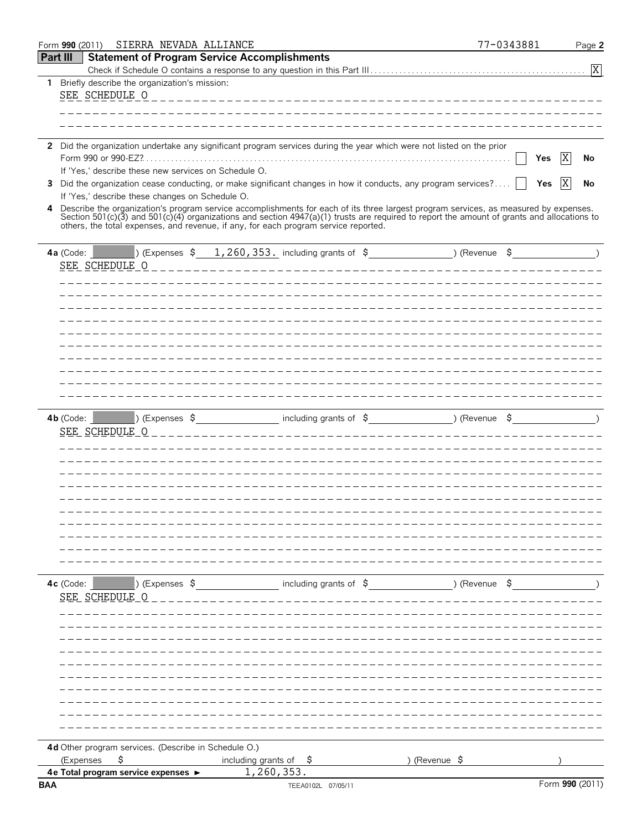|                 | Form 990 (2011)                                                  | SIERRA NEVADA ALLIANCE                               |                |                                                     |                                                                                     |                                                                                                                                                                                                                                  | 77-0343881 |                 | Page 2        |
|-----------------|------------------------------------------------------------------|------------------------------------------------------|----------------|-----------------------------------------------------|-------------------------------------------------------------------------------------|----------------------------------------------------------------------------------------------------------------------------------------------------------------------------------------------------------------------------------|------------|-----------------|---------------|
| <b>Part III</b> |                                                                  |                                                      |                | <b>Statement of Program Service Accomplishments</b> |                                                                                     |                                                                                                                                                                                                                                  |            |                 |               |
|                 |                                                                  |                                                      |                |                                                     |                                                                                     |                                                                                                                                                                                                                                  |            |                 | X             |
|                 | 1 Briefly describe the organization's mission:<br>SEE SCHEDULE O |                                                      |                |                                                     |                                                                                     |                                                                                                                                                                                                                                  |            |                 |               |
|                 |                                                                  |                                                      |                |                                                     |                                                                                     |                                                                                                                                                                                                                                  |            |                 |               |
|                 |                                                                  |                                                      |                |                                                     |                                                                                     |                                                                                                                                                                                                                                  |            |                 |               |
|                 |                                                                  |                                                      |                |                                                     |                                                                                     | 2 Did the organization undertake any significant program services during the year which were not listed on the prior                                                                                                             |            |                 |               |
|                 |                                                                  | If 'Yes,' describe these new services on Schedule O. |                |                                                     |                                                                                     |                                                                                                                                                                                                                                  | Yes        | X               | No            |
| 3.              |                                                                  |                                                      |                |                                                     |                                                                                     | Did the organization cease conducting, or make significant changes in how it conducts, any program services?                                                                                                                     | Yes        | X               | No            |
|                 |                                                                  | If 'Yes,' describe these changes on Schedule O.      |                |                                                     |                                                                                     |                                                                                                                                                                                                                                  |            |                 |               |
| 4               |                                                                  |                                                      |                |                                                     | others, the total expenses, and revenue, if any, for each program service reported. | Describe the organization's program service accomplishments for each of its three largest program services, as measured by expenses.<br>Section 501(c)(3) and 501(c)(4) organizations and section 4947(a)(1) trusts are required |            |                 |               |
|                 | 4a (Code: $\vert$                                                |                                                      |                |                                                     |                                                                                     | [) (Expenses $\frac{260}{1260}$ , 353. including grants of $\frac{2}{5}$ (Revenue $\frac{2}{5}$ )                                                                                                                                |            |                 |               |
|                 | SEE SCHEDULE O                                                   |                                                      |                |                                                     |                                                                                     |                                                                                                                                                                                                                                  |            |                 |               |
|                 |                                                                  |                                                      |                |                                                     |                                                                                     |                                                                                                                                                                                                                                  |            |                 |               |
|                 |                                                                  |                                                      |                |                                                     |                                                                                     |                                                                                                                                                                                                                                  |            |                 |               |
|                 |                                                                  |                                                      |                |                                                     |                                                                                     |                                                                                                                                                                                                                                  |            |                 |               |
|                 |                                                                  |                                                      |                |                                                     |                                                                                     |                                                                                                                                                                                                                                  |            |                 |               |
|                 |                                                                  |                                                      |                |                                                     |                                                                                     |                                                                                                                                                                                                                                  |            |                 |               |
|                 |                                                                  |                                                      |                |                                                     |                                                                                     |                                                                                                                                                                                                                                  |            |                 |               |
|                 |                                                                  |                                                      |                |                                                     |                                                                                     |                                                                                                                                                                                                                                  |            |                 |               |
|                 |                                                                  |                                                      |                |                                                     |                                                                                     |                                                                                                                                                                                                                                  |            |                 |               |
|                 |                                                                  |                                                      |                |                                                     |                                                                                     |                                                                                                                                                                                                                                  |            |                 |               |
|                 | 4 <b>b</b> (Code: <b>1999)</b>                                   |                                                      |                |                                                     |                                                                                     | ) (Expenses \$ including grants of \$ ) (Revenue \$                                                                                                                                                                              |            |                 | $\rightarrow$ |
|                 | SEE SCHEDULE O                                                   |                                                      |                |                                                     |                                                                                     |                                                                                                                                                                                                                                  |            |                 |               |
|                 |                                                                  |                                                      |                |                                                     |                                                                                     |                                                                                                                                                                                                                                  |            |                 |               |
|                 |                                                                  |                                                      |                |                                                     |                                                                                     |                                                                                                                                                                                                                                  |            |                 |               |
|                 |                                                                  |                                                      |                |                                                     |                                                                                     |                                                                                                                                                                                                                                  |            |                 |               |
|                 |                                                                  |                                                      |                |                                                     |                                                                                     |                                                                                                                                                                                                                                  |            |                 |               |
|                 |                                                                  |                                                      |                |                                                     |                                                                                     |                                                                                                                                                                                                                                  |            |                 |               |
|                 |                                                                  |                                                      |                |                                                     |                                                                                     |                                                                                                                                                                                                                                  |            |                 |               |
|                 |                                                                  |                                                      |                |                                                     |                                                                                     |                                                                                                                                                                                                                                  |            |                 |               |
|                 |                                                                  |                                                      |                |                                                     |                                                                                     |                                                                                                                                                                                                                                  |            |                 |               |
|                 |                                                                  |                                                      |                |                                                     |                                                                                     |                                                                                                                                                                                                                                  |            |                 |               |
|                 |                                                                  |                                                      |                |                                                     |                                                                                     |                                                                                                                                                                                                                                  |            |                 |               |
|                 | 4c (Code:                                                        |                                                      | ) (Expenses \$ |                                                     | including grants of \$                                                              | ) (Revenue \$                                                                                                                                                                                                                    |            |                 |               |
|                 | SEE SCHEDULE O                                                   |                                                      |                |                                                     |                                                                                     |                                                                                                                                                                                                                                  |            |                 |               |
|                 |                                                                  |                                                      |                |                                                     |                                                                                     |                                                                                                                                                                                                                                  |            |                 |               |
|                 |                                                                  |                                                      |                |                                                     |                                                                                     |                                                                                                                                                                                                                                  |            |                 |               |
|                 |                                                                  |                                                      |                |                                                     |                                                                                     |                                                                                                                                                                                                                                  |            |                 |               |
|                 |                                                                  |                                                      |                |                                                     |                                                                                     |                                                                                                                                                                                                                                  |            |                 |               |
|                 |                                                                  |                                                      |                |                                                     |                                                                                     |                                                                                                                                                                                                                                  |            |                 |               |
|                 |                                                                  |                                                      |                |                                                     |                                                                                     |                                                                                                                                                                                                                                  |            |                 |               |
|                 |                                                                  |                                                      |                |                                                     |                                                                                     |                                                                                                                                                                                                                                  |            |                 |               |
|                 |                                                                  |                                                      |                |                                                     |                                                                                     |                                                                                                                                                                                                                                  |            |                 |               |
|                 |                                                                  |                                                      |                |                                                     |                                                                                     |                                                                                                                                                                                                                                  |            |                 |               |
|                 | 4d Other program services. (Describe in Schedule O.)             |                                                      |                |                                                     |                                                                                     |                                                                                                                                                                                                                                  |            |                 |               |
|                 | (Expenses                                                        | \$                                                   |                | including grants of $\frac{1}{2}$<br>1,260,353.     |                                                                                     | ) (Revenue $\sqrt{5}$                                                                                                                                                                                                            |            |                 |               |
| <b>BAA</b>      | 4e Total program service expenses ►                              |                                                      |                |                                                     | TEEA0102L 07/05/11                                                                  |                                                                                                                                                                                                                                  |            | Form 990 (2011) |               |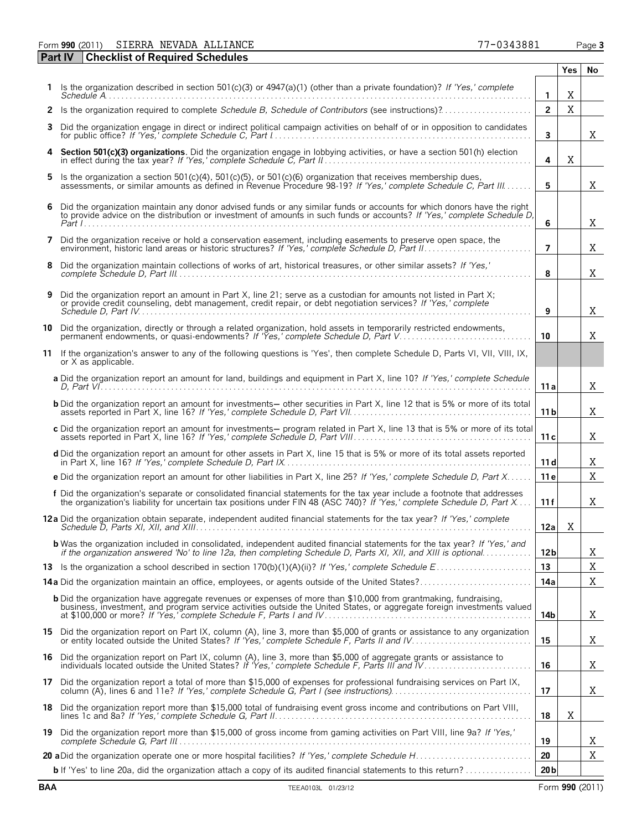Form **990** (2011) Page **3** SIERRA NEVADA ALLIANCE 77-0343881

|    | <b>Part IV</b><br><b>Checklist of Required Schedules</b>                                                                                                                                                                                            |                 |     |    |
|----|-----------------------------------------------------------------------------------------------------------------------------------------------------------------------------------------------------------------------------------------------------|-----------------|-----|----|
|    |                                                                                                                                                                                                                                                     |                 | Yes | No |
|    | 1 Is the organization described in section 501(c)(3) or $4947(a)(1)$ (other than a private foundation)? If 'Yes,' complete                                                                                                                          | 1               | X   |    |
|    |                                                                                                                                                                                                                                                     | $\overline{2}$  | X   |    |
| З. | Did the organization engage in direct or indirect political campaign activities on behalf of or in opposition to candidates                                                                                                                         | 3               |     | X  |
| 4  | Section 501(c)(3) organizations. Did the organization engage in lobbying activities, or have a section 501(h) election in effect during the tax year? If 'Yes,' complete Schedule C, Part II                                                        | 4               | X   |    |
| 5. | Is the organization a section 501(c)(4), 501(c)(5), or 501(c)(6) organization that receives membership dues, assessments, or similar amounts as defined in Revenue Procedure 98-19? If 'Yes,' complete Schedule C, Part III.                        | 5               |     | X  |
| 6  | Did the organization maintain any donor advised funds or any similar funds or accounts for which donors have the right<br>to provide advice on the distribution or investment of amounts in such funds or accounts? If 'Yes,' complete Schedule D,  | 6               |     | X  |
|    | 7 Did the organization receive or hold a conservation easement, including easements to preserve open space, the                                                                                                                                     | $\overline{7}$  |     | X  |
| 8  | Did the organization maintain collections of works of art, historical treasures, or other similar assets? If 'Yes,'                                                                                                                                 | 8               |     | X  |
| 9  | Did the organization report an amount in Part X, line 21; serve as a custodian for amounts not listed in Part X;<br>or provide credit counseling, debt management, credit repair, or debt negotiation services? If 'Yes,' complete                  | 9               |     | X  |
| 10 | Did the organization, directly or through a related organization, hold assets in temporarily restricted endowments,<br>permanent endowments, or quasi-endowments? If 'Yes,' complete Schedule D, Part V.                                            | 10              |     | X  |
| 11 | If the organization's answer to any of the following questions is 'Yes', then complete Schedule D, Parts VI, VII, VIII, IX,<br>or X as applicable.                                                                                                  |                 |     |    |
|    | a Did the organization report an amount for land, buildings and equipment in Part X, line 10? If 'Yes,' complete Schedule                                                                                                                           | 11 a            |     | X  |
|    | <b>b</b> Did the organization report an amount for investments- other securities in Part X, line 12 that is 5% or more of its total                                                                                                                 | 11 <sub>b</sub> |     | X  |
|    | c Did the organization report an amount for investments- program related in Part X, line 13 that is 5% or more of its total                                                                                                                         | 11 c            |     | X  |
|    | d Did the organization report an amount for other assets in Part X, line 15 that is 5% or more of its total assets reported                                                                                                                         | 11d             |     | Χ  |
|    | e Did the organization report an amount for other liabilities in Part X, line 25? If 'Yes,' complete Schedule D, Part X                                                                                                                             | 11e             |     | X  |
|    | f Did the organization's separate or consolidated financial statements for the tax year include a footnote that addresses<br>the organization's liability for uncertain tax positions under FIN 48 (ASC 740)? If 'Yes,' complete Schedule D, Part X | 11f             |     | Χ  |
|    | 12a Did the organization obtain separate, independent audited financial statements for the tax year? If 'Yes,' complete                                                                                                                             | 12a I           | X   |    |
|    | <b>b</b> Was the organization included in consolidated, independent audited financial statements for the tax year? If 'Yes,' and<br>if the organization answered 'No' to line 12a, then completing Schedule D, Parts XI, XII, and XIII is optional  | 12 <sub>b</sub> |     | Χ  |
|    |                                                                                                                                                                                                                                                     | 13              |     | Χ  |
|    | <b>14a</b> Did the organization maintain an office, employees, or agents outside of the United States?                                                                                                                                              | 14a             |     | Χ  |
|    | <b>b</b> Did the organization have aggregate revenues or expenses of more than \$10,000 from grantmaking, fundraising,<br>business, investment, and program service activities outside the United States, or aggregate foreign investments valued   | 14b             |     | Χ  |
|    | 15 Did the organization report on Part IX, column (A), line 3, more than \$5,000 of grants or assistance to any organization<br>or entity located outside the United States? If 'Yes,' complete Schedule F, Parts II and IV.                        | 15              |     | Χ  |
|    | 16 Did the organization report on Part IX, column (A), line 3, more than \$5,000 of aggregate grants or assistance to<br>individuals located outside the United States? If 'Yes,' complete Schedule F, Parts III and IV                             | 16              |     | Χ  |
|    | 17 Did the organization report a total of more than \$15,000 of expenses for professional fundraising services on Part IX,                                                                                                                          | 17              |     | Χ  |
|    | 18 Did the organization report more than \$15,000 total of fundraising event gross income and contributions on Part VIII,                                                                                                                           | 18              | X   |    |
|    | 19 Did the organization report more than \$15,000 of gross income from gaming activities on Part VIII, line 9a? If 'Yes,'                                                                                                                           | 19              |     | Χ  |
|    |                                                                                                                                                                                                                                                     | 20              |     | Χ  |
|    | <b>b</b> If 'Yes' to line 20a, did the organization attach a copy of its audited financial statements to this return?                                                                                                                               | 20 <sub>b</sub> |     |    |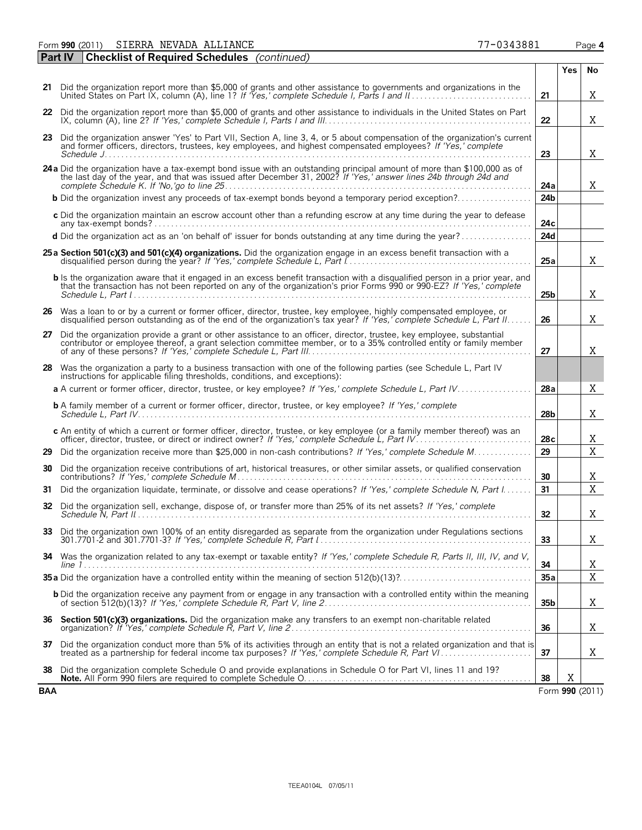Form **990** (2011) Page **4** SIERRA NEVADA ALLIANCE 77-0343881

|     | <b>Checklist of Required Schedules</b> (continued)<br><b>Part IV</b>                                                                                                                                                                                         |                 |     |                |
|-----|--------------------------------------------------------------------------------------------------------------------------------------------------------------------------------------------------------------------------------------------------------------|-----------------|-----|----------------|
|     |                                                                                                                                                                                                                                                              |                 | Yes | No             |
|     | 21 Did the organization report more than \$5,000 of grants and other assistance to governments and organizations in the                                                                                                                                      | 21              |     | Χ              |
|     | 22 Did the organization report more than \$5,000 of grants and other assistance to individuals in the United States on Part                                                                                                                                  | 22              |     | X              |
| 23  | Did the organization answer 'Yes' to Part VII, Section A, line 3, 4, or 5 about compensation of the organization's current<br>and former officers, directors, trustees, key employees, and highest compensated employees? If 'Yes,' complete                 |                 |     |                |
|     |                                                                                                                                                                                                                                                              | 23              |     | Χ              |
|     | 24a Did the organization have a tax-exempt bond issue with an outstanding principal amount of more than \$100,000 as of the last day of the year, and that was issued after December 31, 2002? If 'Yes,' answer lines 24b throu                              | 24a             |     | X              |
|     | <b>b</b> Did the organization invest any proceeds of tax-exempt bonds beyond a temporary period exception?                                                                                                                                                   | 24b             |     |                |
|     | c Did the organization maintain an escrow account other than a refunding escrow at any time during the year to defease                                                                                                                                       | 24c             |     |                |
|     | d Did the organization act as an 'on behalf of' issuer for bonds outstanding at any time during the year?                                                                                                                                                    | 24d             |     |                |
|     | 25 a Section 501(c)(3) and 501(c)(4) organizations. Did the organization engage in an excess benefit transaction with a                                                                                                                                      | 25a             |     | X              |
|     | <b>b</b> Is the organization aware that it engaged in an excess benefit transaction with a disqualified person in a prior year, and<br>that the transaction has not been reported on any of the organization's prior Forms 990 or 990 EZ? If 'Yes,' complete | 25 <sub>b</sub> |     | X              |
|     | 26 Was a loan to or by a current or former officer, director, trustee, key employee, highly compensated employee, or<br>disqualified person outstanding as of the end of the organization's tax year? If 'Yes,' complete Schedule L, Part II.                | 26              |     | X              |
| 27  | Did the organization provide a grant or other assistance to an officer, director, trustee, key employee, substantial<br>contributor or employee thereof, a grant selection committee member, or to a 35% controlled entity or family member                  | 27              |     | Χ              |
|     | 28 Was the organization a party to a business transaction with one of the following parties (see Schedule L, Part IV<br>instructions for applicable filing thresholds, conditions, and exceptions):                                                          |                 |     |                |
|     | a A current or former officer, director, trustee, or key employee? If 'Yes,' complete Schedule L, Part IV                                                                                                                                                    | 28a             |     | X              |
|     | <b>b</b> A family member of a current or former officer, director, trustee, or key employee? If 'Yes,' complete                                                                                                                                              | 28b             |     | Χ              |
|     | c An entity of which a current or former officer, director, trustee, or key employee (or a family member thereof) was an                                                                                                                                     | 28c             |     | Χ              |
| 29  | Did the organization receive more than \$25,000 in non-cash contributions? If 'Yes,' complete Schedule M                                                                                                                                                     | 29              |     | X              |
| 30  | Did the organization receive contributions of art, historical treasures, or other similar assets, or qualified conservation                                                                                                                                  | 30              |     | Χ              |
| 31. | Did the organization liquidate, terminate, or dissolve and cease operations? If 'Yes,' complete Schedule N, Part I.                                                                                                                                          | 31              |     | $\overline{X}$ |
| 32  | Did the organization sell, exchange, dispose of, or transfer more than 25% of its net assets? If 'Yes,' complete                                                                                                                                             | 32              |     | Χ              |
|     | 33 Did the organization own 100% of an entity disregarded as separate from the organization under Regulations sections                                                                                                                                       | 33              |     | Χ              |
|     | 34 Was the organization related to any tax-exempt or taxable entity? If 'Yes,' complete Schedule R, Parts II, III, IV, and V,                                                                                                                                | 34              |     | Χ              |
|     |                                                                                                                                                                                                                                                              | 35a             |     | X              |
|     | <b>b</b> Did the organization receive any payment from or engage in any transaction with a controlled entity within the meaning                                                                                                                              | 35b             |     | Χ              |
|     | 36 Section 501(c)(3) organizations. Did the organization make any transfers to an exempt non-charitable related                                                                                                                                              | 36              |     | Χ              |
|     | 37 Did the organization conduct more than 5% of its activities through an entity that is not a related organization and that is                                                                                                                              | 37              |     | Χ              |
|     | Did the organization complete Schedule O and provide explanations in Schedule O for Part VI, lines 11 and 19?                                                                                                                                                |                 | Χ   |                |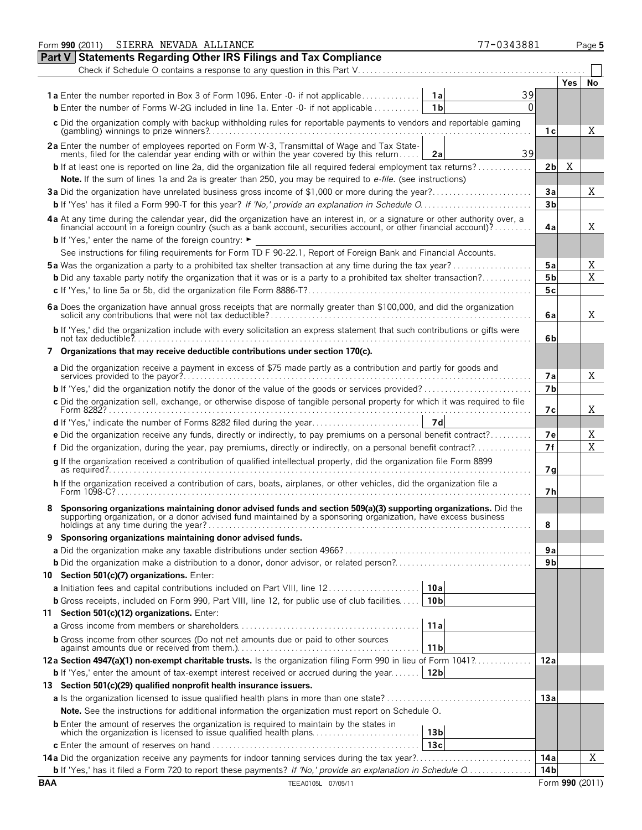|            | Form 990 (2011) SIERRA NEVADA ALLIANCE                                                                                                                                                                                             | 77-0343881 |                 |            | Page 5         |
|------------|------------------------------------------------------------------------------------------------------------------------------------------------------------------------------------------------------------------------------------|------------|-----------------|------------|----------------|
|            | Part V Statements Regarding Other IRS Filings and Tax Compliance                                                                                                                                                                   |            |                 |            |                |
|            | Check if Schedule O contains a response to any question in this Part V                                                                                                                                                             |            |                 |            |                |
|            |                                                                                                                                                                                                                                    |            |                 | <b>Yes</b> | No             |
|            | <b>1a</b> Enter the number reported in Box 3 of Form 1096. Enter -0- if not applicable<br>1a                                                                                                                                       | 39         |                 |            |                |
|            | 1 <sub>b</sub><br><b>b</b> Enter the number of Forms W-2G included in line 1a. Enter -0- if not applicable                                                                                                                         | 0          |                 |            |                |
|            | c Did the organization comply with backup withholding rules for reportable payments to vendors and reportable gaming                                                                                                               |            | 1с              |            | Χ              |
|            | 2a Enter the number of employees reported on Form W-3, Transmittal of Wage and Tax Statements, filed for the calendar year ending with or within the year covered by this return<br>2a                                             | 39         |                 |            |                |
|            | <b>b</b> If at least one is reported on line 2a, did the organization file all required federal employment tax returns?                                                                                                            |            | 2 <sub>b</sub>  | Χ          |                |
|            | Note. If the sum of lines 1a and 2a is greater than 250, you may be required to e-file. (see instructions)                                                                                                                         |            |                 |            |                |
|            | 3a Did the organization have unrelated business gross income of \$1,000 or more during the year?                                                                                                                                   |            | Зa              |            | Χ              |
|            |                                                                                                                                                                                                                                    |            | 3 <sub>b</sub>  |            |                |
|            | 4a At any time during the calendar year, did the organization have an interest in, or a signature or other authority over, a financial account in a foreign country (such as a bank account, securities account, or other fina     |            | 4a              |            | X              |
|            | <b>b</b> If 'Yes,' enter the name of the foreign country: ►                                                                                                                                                                        |            |                 |            |                |
|            | See instructions for filing requirements for Form TD F 90-22.1, Report of Foreign Bank and Financial Accounts.                                                                                                                     |            |                 |            |                |
|            | <b>5a</b> Was the organization a party to a prohibited tax shelter transaction at any time during the tax year?                                                                                                                    |            | 5a              |            | Χ              |
|            | <b>b</b> Did any taxable party notify the organization that it was or is a party to a prohibited tax shelter transaction?                                                                                                          |            | 5 <sub>b</sub>  |            | $\overline{X}$ |
|            |                                                                                                                                                                                                                                    |            | 5c              |            |                |
|            |                                                                                                                                                                                                                                    |            | 6a              |            | X.             |
|            | b If 'Yes,' did the organization include with every solicitation an express statement that such contributions or gifts were                                                                                                        |            | 6b              |            |                |
|            | 7 Organizations that may receive deductible contributions under section 170(c).                                                                                                                                                    |            |                 |            |                |
|            | a Did the organization receive a payment in excess of \$75 made partly as a contribution and partly for goods and                                                                                                                  |            | 7a              |            | X              |
|            |                                                                                                                                                                                                                                    |            | 7 <sub>b</sub>  |            |                |
|            | c Did the organization sell, exchange, or otherwise dispose of tangible personal property for which it was required to file                                                                                                        |            | 7с              |            | X              |
|            | 7d                                                                                                                                                                                                                                 |            |                 |            |                |
|            | e Did the organization receive any funds, directly or indirectly, to pay premiums on a personal benefit contract?                                                                                                                  |            | 7е              |            | Χ              |
|            | f Did the organization, during the year, pay premiums, directly or indirectly, on a personal benefit contract?                                                                                                                     |            | 7f              |            | $\overline{X}$ |
|            | g If the organization received a contribution of qualified intellectual property, did the organization file Form 8899                                                                                                              |            | 7g              |            |                |
|            | h If the organization received a contribution of cars, boats, airplanes, or other vehicles, did the organization file a<br>Form 1098-C?.                                                                                           |            | 7h              |            |                |
|            | Sponsoring organizations maintaining donor advised funds and section 509(a)(3) supporting organizations. Did the<br>supporting organization, or a donor advised fund maintained by a sponsoring organization, have excess business |            | 8               |            |                |
|            | 9 Sponsoring organizations maintaining donor advised funds.                                                                                                                                                                        |            |                 |            |                |
|            |                                                                                                                                                                                                                                    |            | 9а              |            |                |
|            |                                                                                                                                                                                                                                    |            | 9b              |            |                |
|            | 10 Section 501(c)(7) organizations. Enter:                                                                                                                                                                                         |            |                 |            |                |
|            | <b>a</b> Initiation fees and capital contributions included on Part VIII, line 12.<br>10a                                                                                                                                          |            |                 |            |                |
|            | <b>b</b> Gross receipts, included on Form 990, Part VIII, line 12, for public use of club facilities<br>10 <sub>b</sub>                                                                                                            |            |                 |            |                |
|            | 11 Section 501(c)(12) organizations. Enter:                                                                                                                                                                                        |            |                 |            |                |
|            | 11a                                                                                                                                                                                                                                |            |                 |            |                |
|            | <b>b</b> Gross income from other sources (Do not net amounts due or paid to other sources<br>11 <sub>b</sub>                                                                                                                       |            |                 |            |                |
|            | 12a Section 4947(a)(1) non-exempt charitable trusts. Is the organization filing Form 990 in lieu of Form 1041?                                                                                                                     |            | 12a             |            |                |
|            | 12 <sub>b</sub><br><b>b</b> If 'Yes,' enter the amount of tax-exempt interest received or accrued during the year                                                                                                                  |            |                 |            |                |
|            | 13 Section 501(c)(29) qualified nonprofit health insurance issuers.                                                                                                                                                                |            |                 |            |                |
|            |                                                                                                                                                                                                                                    |            | 13a             |            |                |
|            | Note. See the instructions for additional information the organization must report on Schedule O.                                                                                                                                  |            |                 |            |                |
|            | <b>b</b> Enter the amount of reserves the organization is required to maintain by the states in<br>13 <sub>b</sub>                                                                                                                 |            |                 |            |                |
|            | 13c                                                                                                                                                                                                                                |            |                 |            |                |
|            | <b>14a</b> Did the organization receive any payments for indoor tanning services during the tax year?                                                                                                                              |            | 14a             |            | X              |
|            | <b>b</b> If 'Yes,' has it filed a Form 720 to report these payments? If 'No,' provide an explanation in Schedule O                                                                                                                 |            | 14b             |            |                |
| <b>BAA</b> | TEEA0105L 07/05/11                                                                                                                                                                                                                 |            | Form 990 (2011) |            |                |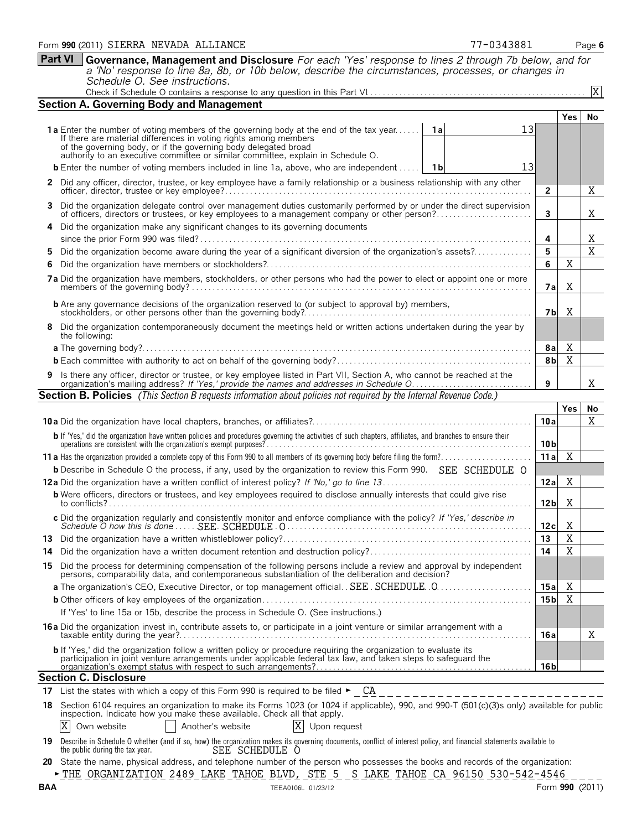**Part VI Governance, Management and Disclosure** *For each 'Yes' response to lines 2 through 7b below, and for*

*a 'No' response to line 8a, 8b, or 10b below, describe the circumstances, processes, or changes in Schedule O. See instructions.* Check if Schedule O contains a response to any question in this Part VI. . . . . . . . . . . . . . . . . . . . . . . . . . . . . . . . . . . . . . . . . . . . . . . . . . . . . X

|                                                                                                                                                                                                                   | <b>Section A. Governing Body and Management</b>                                                                                                                                                                                                      |                 |            |                |  |  |  |
|-------------------------------------------------------------------------------------------------------------------------------------------------------------------------------------------------------------------|------------------------------------------------------------------------------------------------------------------------------------------------------------------------------------------------------------------------------------------------------|-----------------|------------|----------------|--|--|--|
|                                                                                                                                                                                                                   |                                                                                                                                                                                                                                                      |                 | <b>Yes</b> | No.            |  |  |  |
|                                                                                                                                                                                                                   | 13<br>1a Enter the number of voting members of the governing body at the end of the tax year<br>1al<br>If there are material differences in voting rights among members                                                                              |                 |            |                |  |  |  |
|                                                                                                                                                                                                                   | of the governing body, or if the governing body delegated broad authority to an executive committee or similar committee, explain in Schedule O.                                                                                                     |                 |            |                |  |  |  |
|                                                                                                                                                                                                                   |                                                                                                                                                                                                                                                      |                 |            |                |  |  |  |
|                                                                                                                                                                                                                   | <b>b</b> Enter the number of voting members included in line 1a, above, who are independent<br>13<br>1 b                                                                                                                                             |                 |            |                |  |  |  |
|                                                                                                                                                                                                                   | 2 Did any officer, director, trustee, or key employee have a family relationship or a business relationship with any other                                                                                                                           | $\overline{2}$  |            | Χ              |  |  |  |
|                                                                                                                                                                                                                   | Did the organization delegate control over management duties customarily performed by or under the direct supervision<br>3.                                                                                                                          | 3               |            | Χ              |  |  |  |
|                                                                                                                                                                                                                   | 4 Did the organization make any significant changes to its governing documents                                                                                                                                                                       |                 |            |                |  |  |  |
|                                                                                                                                                                                                                   |                                                                                                                                                                                                                                                      | 4               |            | Χ              |  |  |  |
|                                                                                                                                                                                                                   | Did the organization become aware during the year of a significant diversion of the organization's assets?<br>5.                                                                                                                                     | 5               |            | $\overline{X}$ |  |  |  |
|                                                                                                                                                                                                                   | 6                                                                                                                                                                                                                                                    | 6               | X          |                |  |  |  |
|                                                                                                                                                                                                                   |                                                                                                                                                                                                                                                      | 7a              | X          |                |  |  |  |
|                                                                                                                                                                                                                   |                                                                                                                                                                                                                                                      |                 |            |                |  |  |  |
| Χ<br>7bl<br>8 Did the organization contemporaneously document the meetings held or written actions undertaken during the year by<br>the following:                                                                |                                                                                                                                                                                                                                                      |                 |            |                |  |  |  |
| Χ<br>8а                                                                                                                                                                                                           |                                                                                                                                                                                                                                                      |                 |            |                |  |  |  |
| 8b                                                                                                                                                                                                                |                                                                                                                                                                                                                                                      |                 |            |                |  |  |  |
| 9 Is there any officer, director or trustee, or key employee listed in Part VII, Section A, who cannot be reached at the organization's mailing address? If 'Yes,' provide the names and addresses in Schedule O. |                                                                                                                                                                                                                                                      |                 |            |                |  |  |  |
| 9<br>Section B. Policies (This Section B requests information about policies not required by the Internal Revenue Code.)                                                                                          |                                                                                                                                                                                                                                                      |                 |            |                |  |  |  |
|                                                                                                                                                                                                                   |                                                                                                                                                                                                                                                      |                 | Yes        |                |  |  |  |
|                                                                                                                                                                                                                   |                                                                                                                                                                                                                                                      | 10a             |            | No.<br>X       |  |  |  |
|                                                                                                                                                                                                                   |                                                                                                                                                                                                                                                      |                 |            |                |  |  |  |
|                                                                                                                                                                                                                   |                                                                                                                                                                                                                                                      |                 |            |                |  |  |  |
|                                                                                                                                                                                                                   | b If 'Yes,' did the organization have written policies and procedures governing the activities of such chapters, affiliates, and branches to ensure their                                                                                            | 10 <sub>b</sub> |            |                |  |  |  |
|                                                                                                                                                                                                                   |                                                                                                                                                                                                                                                      | 11a             | X          |                |  |  |  |
|                                                                                                                                                                                                                   | <b>b</b> Describe in Schedule O the process, if any, used by the organization to review this Form 990. SEE SCHEDULE O                                                                                                                                |                 |            |                |  |  |  |
|                                                                                                                                                                                                                   |                                                                                                                                                                                                                                                      | 12a             | X          |                |  |  |  |
|                                                                                                                                                                                                                   | <b>b</b> Were officers, directors or trustees, and key employees required to disclose annually interests that could give rise                                                                                                                        | 12 <sub>b</sub> | Χ          |                |  |  |  |
|                                                                                                                                                                                                                   |                                                                                                                                                                                                                                                      |                 |            |                |  |  |  |
|                                                                                                                                                                                                                   |                                                                                                                                                                                                                                                      | 12c             | X          |                |  |  |  |
|                                                                                                                                                                                                                   |                                                                                                                                                                                                                                                      | 13              | Χ          |                |  |  |  |
|                                                                                                                                                                                                                   |                                                                                                                                                                                                                                                      | 14              | X          |                |  |  |  |
|                                                                                                                                                                                                                   | 15 Did the process for determining compensation of the following persons include a review and approval by independent<br>persons, comparability data, and contemporaneous substantiation of the deliberation and decision?                           |                 |            |                |  |  |  |
|                                                                                                                                                                                                                   |                                                                                                                                                                                                                                                      | 15a             | Χ          |                |  |  |  |
|                                                                                                                                                                                                                   |                                                                                                                                                                                                                                                      | 15 <sub>b</sub> | X          |                |  |  |  |
|                                                                                                                                                                                                                   | If 'Yes' to line 15a or 15b, describe the process in Schedule O. (See instructions.)                                                                                                                                                                 |                 |            |                |  |  |  |
|                                                                                                                                                                                                                   | <b>16a</b> Did the organization invest in, contribute assets to, or participate in a joint venture or similar arrangement with a                                                                                                                     | 16a             |            | Χ              |  |  |  |
|                                                                                                                                                                                                                   | <b>b</b> If 'Yes,' did the organization follow a written policy or procedure requiring the organization to evaluate its<br>participation in joint venture arrangements under applicable federal tax law, and taken steps to safeguard the            |                 |            |                |  |  |  |
|                                                                                                                                                                                                                   |                                                                                                                                                                                                                                                      | 16 <sub>b</sub> |            |                |  |  |  |
|                                                                                                                                                                                                                   | <b>Section C. Disclosure</b><br>17 List the states with which a copy of this Form 990 is required to be filed $\blacktriangleright$ CA                                                                                                               |                 |            |                |  |  |  |
|                                                                                                                                                                                                                   | ______________________<br>18 Section 6104 requires an organization to make its Forms 1023 (or 1024 if applicable), 990, and 990-T (501(c)(3)s only) available for public<br>inspection. Indicate how you make these available. Check all that apply. |                 |            |                |  |  |  |
|                                                                                                                                                                                                                   | Own website<br>Another's website<br>Upon request                                                                                                                                                                                                     |                 |            |                |  |  |  |

19 Describe in Schedule O whether (and if so, how) the organization makes its governing documents, conflict of interest policy, and financial statements available to the public during the tax year.<br>SEE SCHEDULE O

**20** State the name, physical address, and telephone number of the person who possesses the books and records of the organization: G THE ORGANIZATION 2489 LAKE TAHOE BLVD, STE 5 S LAKE TAHOE CA 96150 530-542-4546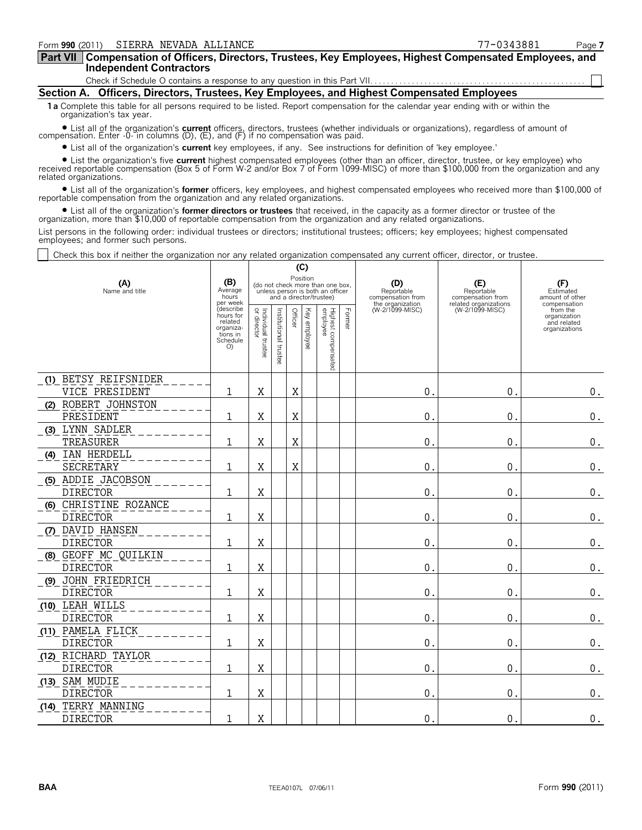| Part VII   Compensation of Officers, Directors, Trustees, Key Employees, Highest Compensated Employees, and |  |  |
|-------------------------------------------------------------------------------------------------------------|--|--|
| Independent Contractors                                                                                     |  |  |

Check if Schedule O contains a response to any question in this Part VII

**Section A. Officers, Directors, Trustees, Key Employees, and Highest Compensated Employees**

**1a** Complete this table for all persons required to be listed. Report compensation for the calendar year ending with or within the organization's tax year.

? List all of the organization's **current** officers, directors, trustees (whether individuals or organizations), regardless of amount of compensation. Enter -0- in columns (D), (E), and (F) if no compensation was paid.

? List all of the organization's **current** key employees, if any. See instructions for definition of 'key employee.'

? List the organization's five **current** highest compensated employees (other than an officer, director, trustee, or key employee) who received reportable compensation (Box 5 of Form W-2 and/or Box 7 of Form 1099-MISC) of more than \$100,000 from the organization and any related organizations.

? List all of the organization's **former** officers, key employees, and highest compensated employees who received more than \$100,000 of reportable compensation from the organization and any related organizations.

? List all of the organization's **former directors or trustees** that received, in the capacity as a former director or trustee of the organization, more than \$10,000 of reportable compensation from the organization and any related organizations.

List persons in the following order: individual trustees or directors; institutional trustees; officers; key employees; highest compensated employees; and former such persons.

Check this box if neither the organization nor any related organization compensated any current officer, director, or trustee.

|                                          |                                                                              |                                      |                                                                                                             | (C)     |                 |                                 |                                        |                                        |                                                     |                                                          |
|------------------------------------------|------------------------------------------------------------------------------|--------------------------------------|-------------------------------------------------------------------------------------------------------------|---------|-----------------|---------------------------------|----------------------------------------|----------------------------------------|-----------------------------------------------------|----------------------------------------------------------|
| (A)<br>Name and title                    | (B)<br>Average<br>hours<br>per week                                          |                                      | Position<br>(do not check more than one box,<br>unless person is both an officer<br>and a director/trustee) |         |                 |                                 | (D)<br>Reportable<br>compensation from | (E)<br>Reportable<br>compensation from | (F)<br>Estimated<br>amount of other<br>compensation |                                                          |
|                                          | (describe<br>hours for<br>related<br>organiza-<br>tions in<br>Schedule<br>O) | Individual<br>or director<br>trustee | Institutional<br>trustee                                                                                    | Officer | Key<br>employee | Highest compensated<br>employee | Former                                 | the organization<br>(W-2/1099-MISC)    | related organizations<br>(W-2/1099-MISC)            | from the<br>organization<br>and related<br>organizations |
| (1) BETSY REIFSNIDER<br>VICE PRESIDENT   | 1                                                                            | X                                    |                                                                                                             | Χ       |                 |                                 |                                        | $\mathbf{0}$ .                         | 0.                                                  | $0_{.}$                                                  |
| (2) ROBERT JOHNSTON<br>PRESIDENT         | $\mathbf{1}$                                                                 | X                                    |                                                                                                             | Χ       |                 |                                 |                                        | 0.                                     | 0.                                                  | $\boldsymbol{0}$ .                                       |
| (3) LYNN SADLER<br>TREASURER             | $\mathbf{1}$                                                                 | X                                    |                                                                                                             | X       |                 |                                 |                                        | $\mathbf{0}$ .                         | 0.                                                  | $\boldsymbol{0}$ .                                       |
| (4) IAN HERDELL<br><b>SECRETARY</b>      | 1                                                                            | Χ                                    |                                                                                                             | Χ       |                 |                                 |                                        | 0.                                     | 0.                                                  | $\boldsymbol{0}$ .                                       |
| (5) ADDIE JACOBSON<br><b>DIRECTOR</b>    | 1                                                                            | Χ                                    |                                                                                                             |         |                 |                                 |                                        | $\mathbf{0}$                           | 0.                                                  | $0$ .                                                    |
| (6) CHRISTINE ROZANCE<br><b>DIRECTOR</b> | 1                                                                            | X                                    |                                                                                                             |         |                 |                                 |                                        | $\mathbf{0}$ .                         | 0.                                                  | 0.                                                       |
| (7) DAVID HANSEN<br><b>DIRECTOR</b>      | 1                                                                            | X                                    |                                                                                                             |         |                 |                                 |                                        | $\mathbf 0$ .                          | 0.                                                  | $0$ .                                                    |
| (8) GEOFF MC QUILKIN<br><b>DIRECTOR</b>  | 1                                                                            | Χ                                    |                                                                                                             |         |                 |                                 |                                        | $\mathbf{0}$ .                         | 0.                                                  | 0.                                                       |
| (9) JOHN FRIEDRICH<br><b>DIRECTOR</b>    | 1                                                                            | Χ                                    |                                                                                                             |         |                 |                                 |                                        | $\mathbf 0$ .                          | 0.                                                  | $0$ .                                                    |
| (10) LEAH WILLS<br><b>DIRECTOR</b>       | 1                                                                            | Χ                                    |                                                                                                             |         |                 |                                 |                                        | 0.                                     | 0.                                                  | $0$ .                                                    |
| (11) PAMELA FLICK<br><b>DIRECTOR</b>     | 1                                                                            | X                                    |                                                                                                             |         |                 |                                 |                                        | 0.                                     | 0.                                                  | $0$ .                                                    |
| (12) RICHARD TAYLOR<br><b>DIRECTOR</b>   | 1                                                                            | X                                    |                                                                                                             |         |                 |                                 |                                        | 0.                                     | 0.                                                  | $0$ .                                                    |
| (13) SAM MUDIE<br><b>DIRECTOR</b>        | 1                                                                            | X                                    |                                                                                                             |         |                 |                                 |                                        | $\mathbf 0$ .                          | 0.                                                  | $\boldsymbol{0}$ .                                       |
| (14) TERRY MANNING<br><b>DIRECTOR</b>    | $\mathbf{1}$                                                                 | X                                    |                                                                                                             |         |                 |                                 |                                        | $\mathbf{0}$                           | 0.                                                  | $\boldsymbol{0}$ .                                       |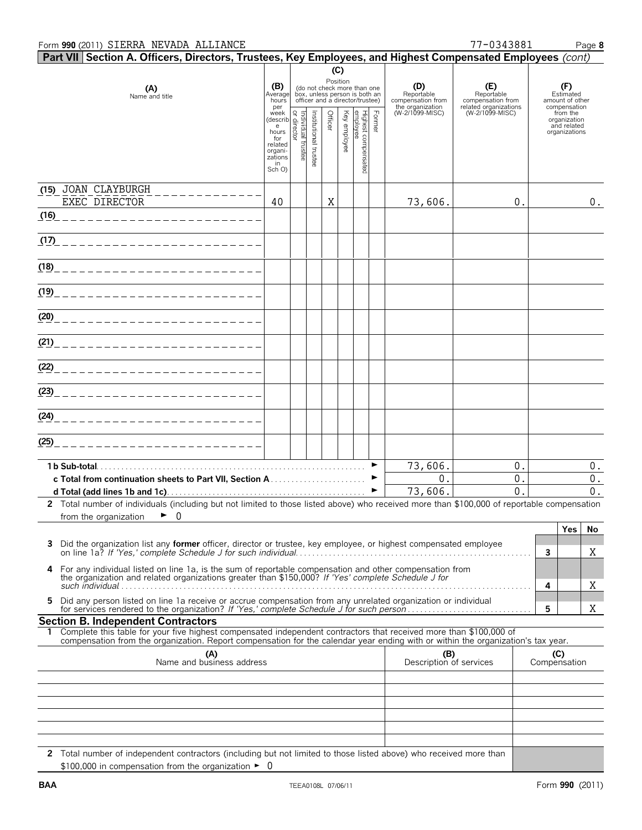| $\mid$ Part VII $\mid$ Section A. Officers, Directors, Trustees, Key Employees, and Highest Compensated Employees (cont)                                                                                                                                     |                                      |                                   |                       |         |              |                                                                                                             |        |                                                            |                                                                 |   |                                                          |
|--------------------------------------------------------------------------------------------------------------------------------------------------------------------------------------------------------------------------------------------------------------|--------------------------------------|-----------------------------------|-----------------------|---------|--------------|-------------------------------------------------------------------------------------------------------------|--------|------------------------------------------------------------|-----------------------------------------------------------------|---|----------------------------------------------------------|
|                                                                                                                                                                                                                                                              |                                      |                                   |                       |         | (C)          |                                                                                                             |        |                                                            |                                                                 |   |                                                          |
| (A)<br>Name and title                                                                                                                                                                                                                                        | (B)<br>Average<br>hours<br>per       |                                   |                       |         |              | Position<br>(do not check more than one<br>box, unless person is both an<br>officer and a director/trustee) |        | (D)<br>Reportable<br>compensation from<br>the organization | (E)<br>Reportable<br>compensation from<br>related organizations |   | (F)<br>Estimated<br>amount of other<br>compensation      |
|                                                                                                                                                                                                                                                              | week<br>(describ<br>e<br>hours       | Individual trustee<br>or director |                       | Officer | Key employee | Highest compensate<br>employee                                                                              | Former | (W-2/1099-MISC)                                            | (W-2/1099-MISC)                                                 |   | from the<br>organization<br>and related<br>organizations |
|                                                                                                                                                                                                                                                              | for<br>related<br>organi-<br>zations |                                   | Institutional trustee |         |              |                                                                                                             |        |                                                            |                                                                 |   |                                                          |
|                                                                                                                                                                                                                                                              | in<br>Sch O)                         |                                   |                       |         |              | g                                                                                                           |        |                                                            |                                                                 |   |                                                          |
| (15) JOAN CLAYBURGH<br>EXEC DIRECTOR                                                                                                                                                                                                                         | 40                                   |                                   |                       | X       |              |                                                                                                             |        | 73,606.                                                    | 0.                                                              |   | $0$ .                                                    |
| (16)<br>-------------------------                                                                                                                                                                                                                            |                                      |                                   |                       |         |              |                                                                                                             |        |                                                            |                                                                 |   |                                                          |
| <u>(17) ________________________</u>                                                                                                                                                                                                                         |                                      |                                   |                       |         |              |                                                                                                             |        |                                                            |                                                                 |   |                                                          |
| (1 <u>8)</u> _____________________________                                                                                                                                                                                                                   |                                      |                                   |                       |         |              |                                                                                                             |        |                                                            |                                                                 |   |                                                          |
|                                                                                                                                                                                                                                                              |                                      |                                   |                       |         |              |                                                                                                             |        |                                                            |                                                                 |   |                                                          |
| (2 <u>0)</u> ______________________________                                                                                                                                                                                                                  |                                      |                                   |                       |         |              |                                                                                                             |        |                                                            |                                                                 |   |                                                          |
| (21)____________________________                                                                                                                                                                                                                             |                                      |                                   |                       |         |              |                                                                                                             |        |                                                            |                                                                 |   |                                                          |
|                                                                                                                                                                                                                                                              |                                      |                                   |                       |         |              |                                                                                                             |        |                                                            |                                                                 |   |                                                          |
|                                                                                                                                                                                                                                                              |                                      |                                   |                       |         |              |                                                                                                             |        |                                                            |                                                                 |   |                                                          |
|                                                                                                                                                                                                                                                              |                                      |                                   |                       |         |              |                                                                                                             |        |                                                            |                                                                 |   |                                                          |
| (25)____________________________                                                                                                                                                                                                                             |                                      |                                   |                       |         |              |                                                                                                             |        |                                                            |                                                                 |   |                                                          |
|                                                                                                                                                                                                                                                              |                                      |                                   |                       |         |              |                                                                                                             |        | 73,606.                                                    | 0.                                                              |   | 0.                                                       |
|                                                                                                                                                                                                                                                              |                                      |                                   |                       |         |              |                                                                                                             | ▶<br>▶ | 0.<br>73,606.                                              | $0$ .<br>$\mathbf 0$                                            |   | 0.<br>0.                                                 |
| 2 Total number of individuals (including but not limited to those listed above) who received more than \$100,000 of reportable compensation<br>from the organization                                                                                         |                                      |                                   |                       |         |              |                                                                                                             |        |                                                            |                                                                 |   |                                                          |
| $\bullet$ 0                                                                                                                                                                                                                                                  |                                      |                                   |                       |         |              |                                                                                                             |        |                                                            |                                                                 |   | Yes<br>No                                                |
| Did the organization list any former officer, director or trustee, key employee, or highest compensated employee<br>3                                                                                                                                        |                                      |                                   |                       |         |              |                                                                                                             |        |                                                            |                                                                 | 3 | Χ                                                        |
| For any individual listed on line 1a, is the sum of reportable compensation and other compensation from<br>4<br>the organization and related organizations greater than \$150,000? If 'Yes' complete Schedule J for                                          |                                      |                                   |                       |         |              |                                                                                                             |        |                                                            |                                                                 | 4 | Χ                                                        |
| Did any person listed on line 1a receive or accrue compensation from any unrelated organization or individual<br>5.                                                                                                                                          |                                      |                                   |                       |         |              |                                                                                                             |        |                                                            |                                                                 | 5 | Χ                                                        |
| <b>Section B. Independent Contractors</b>                                                                                                                                                                                                                    |                                      |                                   |                       |         |              |                                                                                                             |        |                                                            |                                                                 |   |                                                          |
| Complete this table for your five highest compensated independent contractors that received more than \$100,000 of<br>1.<br>compensation from the organization. Report compensation for the calendar year ending with or within the organization's tax year. |                                      |                                   |                       |         |              |                                                                                                             |        |                                                            |                                                                 |   |                                                          |
| (A)<br>Name and business address                                                                                                                                                                                                                             |                                      |                                   |                       |         |              |                                                                                                             |        | (B)<br>Description of services                             |                                                                 |   | (C)<br>Compensation                                      |
|                                                                                                                                                                                                                                                              |                                      |                                   |                       |         |              |                                                                                                             |        |                                                            |                                                                 |   |                                                          |
|                                                                                                                                                                                                                                                              |                                      |                                   |                       |         |              |                                                                                                             |        |                                                            |                                                                 |   |                                                          |
|                                                                                                                                                                                                                                                              |                                      |                                   |                       |         |              |                                                                                                             |        |                                                            |                                                                 |   |                                                          |
|                                                                                                                                                                                                                                                              |                                      |                                   |                       |         |              |                                                                                                             |        |                                                            |                                                                 |   |                                                          |
| 2 Total number of independent contractors (including but not limited to those listed above) who received more than<br>\$100,000 in compensation from the organization $\blacktriangleright$ 0                                                                |                                      |                                   |                       |         |              |                                                                                                             |        |                                                            |                                                                 |   |                                                          |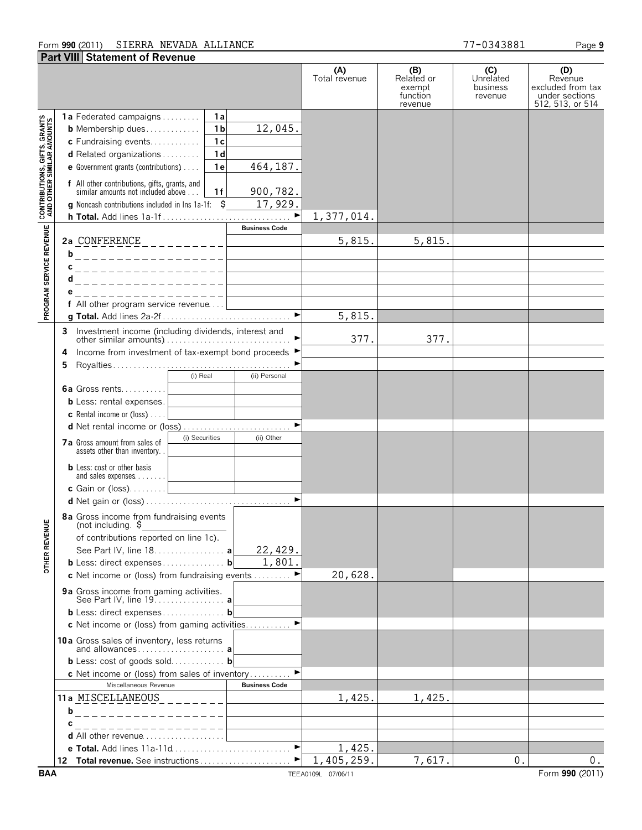#### Form **990** (2011) Page **9** SIERRA NEVADA ALLIANCE 77-0343881

|                                                                                                                       | <b>Part VIII Statement of Revenue</b>                                                                                                                                                                                                                                                                                                                                                                                                                    |                                            |                                                    |                                         |                                                                           |
|-----------------------------------------------------------------------------------------------------------------------|----------------------------------------------------------------------------------------------------------------------------------------------------------------------------------------------------------------------------------------------------------------------------------------------------------------------------------------------------------------------------------------------------------------------------------------------------------|--------------------------------------------|----------------------------------------------------|-----------------------------------------|---------------------------------------------------------------------------|
|                                                                                                                       |                                                                                                                                                                                                                                                                                                                                                                                                                                                          | (A)<br>Total revenue                       | (B)<br>Related or<br>exempt<br>function<br>revenue | (C)<br>Unrelated<br>business<br>revenue | (D)<br>Revenue<br>excluded from tax<br>under sections<br>512, 513, or 514 |
| <b>PROGRAM SERVICE REVENUE   CONTRIBUTIONS, GIFTS, GRANTS<br/>PROGRAM SERVICE REVENUE   AND OTHER SIMILAR AMOUNTS</b> | <b>1a</b> Federated campaigns<br>1a<br>1 <sub>b</sub><br>12,045.<br><b>b</b> Membership dues<br>1 <sub>c</sub><br>c Fundraising events<br>1 <sub>d</sub><br><b>d</b> Related organizations $\ldots$<br>464, 187.<br>1e<br>e Government grants (contributions)<br><b>f</b> All other contributions, gifts, grants, and similar amounts not included above<br>900,782.<br>1f<br>17,929.<br><b>g</b> Noncash contributions included in Ins 1a-1f: $\hat{S}$ | 1,377,014.                                 |                                                    |                                         |                                                                           |
|                                                                                                                       | <b>Business Code</b><br>2a CONFERENCE ___________<br>b<br>. _ _ _ _ _ _ _ _ _ _ _ _ _ _ _ _ _ _<br>с<br>__________________                                                                                                                                                                                                                                                                                                                               | 5,815.                                     | 5,815.                                             |                                         |                                                                           |
|                                                                                                                       | d<br>_________________<br>е<br>________________<br>f All other program service revenue<br>the company of the company of the                                                                                                                                                                                                                                                                                                                              | 5,815.                                     |                                                    |                                         |                                                                           |
|                                                                                                                       | Investment income (including dividends, interest and<br>3<br>Income from investment of tax-exempt bond proceeds ▶<br>4<br>5<br>(i) Real<br>(ii) Personal<br><b>6a</b> Gross rents                                                                                                                                                                                                                                                                        | 377.                                       | 377.                                               |                                         |                                                                           |
|                                                                                                                       | <b>b</b> Less: rental expenses.<br><b>c</b> Rental income or (loss) $\ldots$ .<br>(i) Securities<br>(ii) Other<br><b>7a</b> Gross amount from sales of<br>assets other than inventory                                                                                                                                                                                                                                                                    |                                            |                                                    |                                         |                                                                           |
|                                                                                                                       | <b>b</b> Less: cost or other basis<br>$\blacktriangleright$                                                                                                                                                                                                                                                                                                                                                                                              |                                            |                                                    |                                         |                                                                           |
| ш<br><b>OTHER REVENU</b>                                                                                              | 8a Gross income from fundraising events<br>(not including. $\frac{1}{2}$<br>of contributions reported on line 1c).<br>22,429.<br>See Part IV, line 18. a<br>1,801<br>b Less: direct expenses b<br>c Net income or (loss) from fundraising events                                                                                                                                                                                                         | 20,628.                                    |                                                    |                                         |                                                                           |
|                                                                                                                       | 9a Gross income from gaming activities.<br>See Part IV, line 19. <b>a</b><br>b Less: direct expenses b<br>c Net income or (loss) from gaming activities. ▶                                                                                                                                                                                                                                                                                               |                                            |                                                    |                                         |                                                                           |
|                                                                                                                       | 10a Gross sales of inventory, less returns<br>and allowances a<br><b>b</b> Less: cost of goods sold <b>b</b><br>$\blacktriangleright$<br>c Net income or (loss) from sales of inventory                                                                                                                                                                                                                                                                  |                                            |                                                    |                                         |                                                                           |
|                                                                                                                       | Miscellaneous Revenue<br><b>Business Code</b><br>11a MISCELLANEOUS_________<br>-----------------<br>b<br>с<br>_ _ _ _ _ _ _ _ _ _ _ _ _ _ _ _ _<br><b>d</b> All other revenue $\ldots, \ldots, \ldots, \ldots, \ldots$                                                                                                                                                                                                                                   | 1,425.                                     | 1,425.                                             |                                         |                                                                           |
| <b>BAA</b>                                                                                                            |                                                                                                                                                                                                                                                                                                                                                                                                                                                          | 1,425.<br>1,405,259.<br>TEEA0109L 07/06/11 | 7,617.                                             | 0.                                      | 0.<br>Form 990 (2011)                                                     |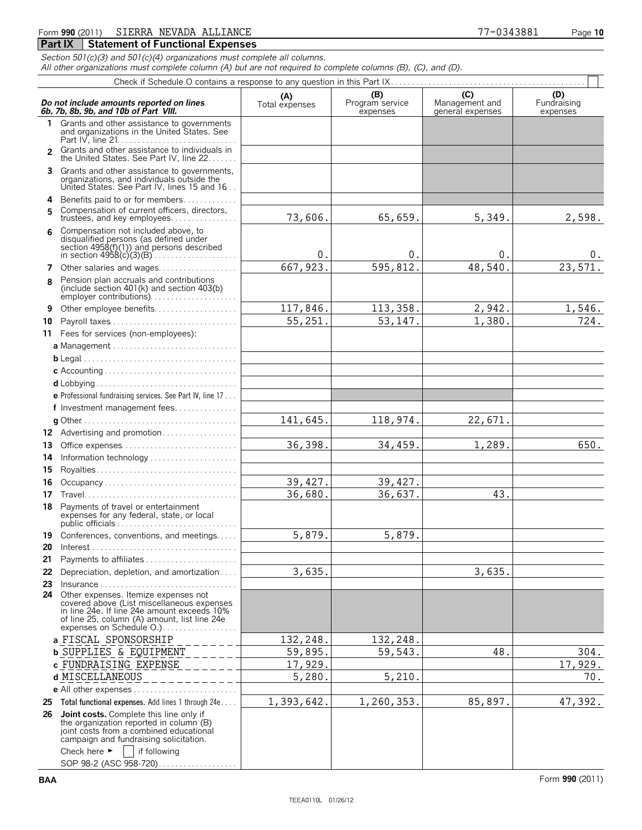### Form **990** (2011) Page **10** SIERRA NEVADA ALLIANCE 77-0343881

#### **Part IX | Statement of Functional Expenses**

*Section 501(c)(3) and 501(c)(4) organizations must complete all columns.*

*All other organizations must complete column (A) but are not required to complete columns (B), (C), and (D).*

|    | Do not include amounts reported on lines<br>6b, 7b, 8b, 9b, and 10b of Part VIII.                                                                                                                                              | (A)<br>Total expenses | (B)<br>Program service<br>expenses | (C)<br>Management and<br>general expenses | (D)<br>Fundraising<br>expenses |
|----|--------------------------------------------------------------------------------------------------------------------------------------------------------------------------------------------------------------------------------|-----------------------|------------------------------------|-------------------------------------------|--------------------------------|
|    | Grants and other assistance to governments<br>and organizations in the United States. See                                                                                                                                      |                       |                                    |                                           |                                |
|    | 2 Grants and other assistance to individuals in<br>the United States. See Part IV, line 22.                                                                                                                                    |                       |                                    |                                           |                                |
|    | 3 Grants and other assistance to governments,<br>organizations, and individuals outside the<br>United States. See Part IV, lines 15 and 16                                                                                     |                       |                                    |                                           |                                |
| 4  | Benefits paid to or for members                                                                                                                                                                                                |                       |                                    |                                           |                                |
| 5. | Compensation of current officers, directors,<br>trustees, and key employees                                                                                                                                                    | 73,606.               | 65,659.                            | 5,349.                                    | 2,598.                         |
| 6  | Compensation not included above, to<br>disqualified persons (as defined under<br>section $4958(f)(1)$ and persons described                                                                                                    | 0.                    | 0.                                 | 0.                                        | υ.                             |
| 7  | Other salaries and wages                                                                                                                                                                                                       | 667, 923.             | 595,812.                           | 48,540.                                   | 23,571.                        |
| R  | Pension plan accruals and contributions<br>(include section $401(k)$ and section $403(b)$ )<br>employer contributions)                                                                                                         |                       |                                    |                                           |                                |
| 9  | Other employee benefits                                                                                                                                                                                                        | 117,846.              | 113,358.                           | 2,942.                                    | 1,546.                         |
| 10 | Payroll taxes                                                                                                                                                                                                                  | 55,251.               | 53, 147.                           | 1,380.                                    | 724.                           |
|    | 11 Fees for services (non-employees):                                                                                                                                                                                          |                       |                                    |                                           |                                |
|    |                                                                                                                                                                                                                                |                       |                                    |                                           |                                |
|    |                                                                                                                                                                                                                                |                       |                                    |                                           |                                |
|    |                                                                                                                                                                                                                                |                       |                                    |                                           |                                |
|    |                                                                                                                                                                                                                                |                       |                                    |                                           |                                |
|    |                                                                                                                                                                                                                                |                       |                                    |                                           |                                |
|    | e Professional fundraising services. See Part IV, line 17                                                                                                                                                                      |                       |                                    |                                           |                                |
|    | f Investment management fees                                                                                                                                                                                                   |                       |                                    |                                           |                                |
|    |                                                                                                                                                                                                                                | 141,645.              | 118,974.                           | 22,671.                                   |                                |
|    | 12 Advertising and promotion                                                                                                                                                                                                   |                       |                                    |                                           |                                |
| 13 | Office expenses                                                                                                                                                                                                                | 36,398.               | 34,459.                            | 1,289.                                    | 650.                           |
| 14 | Information technology                                                                                                                                                                                                         |                       |                                    |                                           |                                |
| 15 |                                                                                                                                                                                                                                |                       |                                    |                                           |                                |
| 16 | Occupancy                                                                                                                                                                                                                      | 39,427.               | 39,427.                            |                                           |                                |
| 17 |                                                                                                                                                                                                                                | 36,680.               | 36,637.                            | 43.                                       |                                |
|    | 18 Payments of travel or entertainment<br>expenses for any federal, state, or local                                                                                                                                            |                       |                                    |                                           |                                |
|    | 19 Conferences, conventions, and meetings                                                                                                                                                                                      | 5,879.                | 5,879.                             |                                           |                                |
|    |                                                                                                                                                                                                                                |                       |                                    |                                           |                                |
| 21 | Payments to affiliates                                                                                                                                                                                                         |                       |                                    |                                           |                                |
| 22 | Depreciation, depletion, and amortization                                                                                                                                                                                      | 3,635.                |                                    | 3,635.                                    |                                |
| 23 |                                                                                                                                                                                                                                |                       |                                    |                                           |                                |
|    | 24 Other expenses. Itemize expenses not<br>covered above (List miscellaneous expenses<br>in line 24e. If line 24e amount exceeds 10%<br>of line 25, column (A) amount, list line 24e<br>expenses on Schedule O.                |                       |                                    |                                           |                                |
|    | a FISCAL SPONSORSHIP                                                                                                                                                                                                           | 132,248.              | 132,248.                           |                                           |                                |
|    | <b>b</b> SUPPLIES & EQUIPMENT                                                                                                                                                                                                  | 59,895.               | 59,543.                            | 48.                                       | 304.                           |
|    | c FUNDRAISING EXPENSE                                                                                                                                                                                                          | 17,929.               |                                    |                                           | 17,929.                        |
|    | d MISCELLANEOUS                                                                                                                                                                                                                | 5,280.                | 5,210.                             |                                           | 70.                            |
|    | <b>e</b> All other expenses $\ldots$ $\ldots$ $\ldots$ $\ldots$ $\ldots$ $\ldots$                                                                                                                                              |                       |                                    |                                           |                                |
|    | 25 Total functional expenses. Add lines 1 through 24e                                                                                                                                                                          | 1,393,642.            | 1,260,353.                         | 85,897.                                   | 47,392.                        |
|    | 26 Joint costs. Complete this line only if<br>the organization reported in column (B)<br>joint costs from a combined educational<br>campaign and fundraising solicitation.<br>Check here $\blacktriangleright$<br>if following |                       |                                    |                                           |                                |
|    | SOP 98-2 (ASC 958-720)                                                                                                                                                                                                         |                       |                                    |                                           |                                |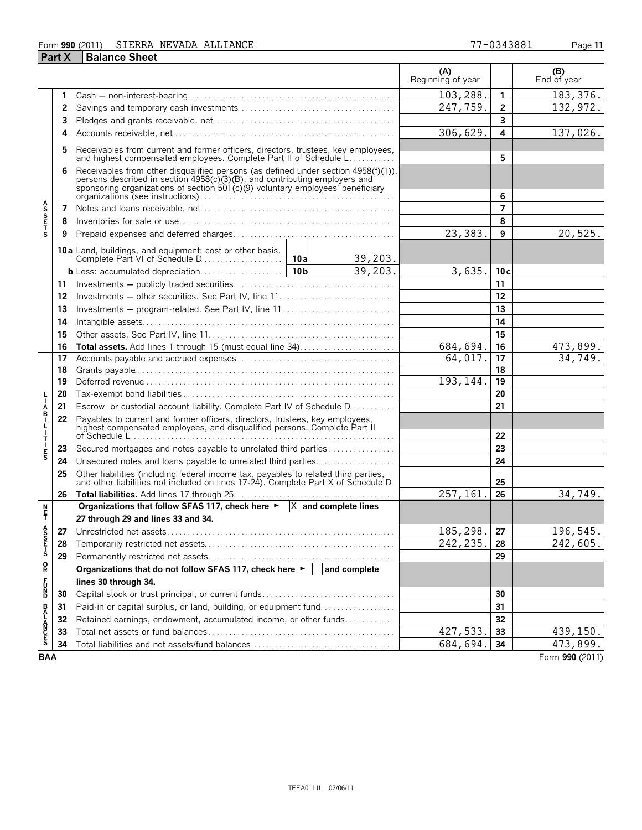#### Form **990** (2011) Page **11** SIERRA NEVADA ALLIANCE 77-0343881

| Part X | <b>Balance Sheet</b> |
|--------|----------------------|

|                       |    |                                                                                                                                                                                                                                                    |                 |          | (A)<br>Beginning of year |                | (B)<br>End of year     |
|-----------------------|----|----------------------------------------------------------------------------------------------------------------------------------------------------------------------------------------------------------------------------------------------------|-----------------|----------|--------------------------|----------------|------------------------|
|                       | 1  |                                                                                                                                                                                                                                                    |                 |          | 103,288.                 | $\mathbf{1}$   | $\overline{183,376}$ . |
|                       | 2  |                                                                                                                                                                                                                                                    |                 |          | 247,759.                 | $\overline{2}$ | 132, 972.              |
|                       | 3  |                                                                                                                                                                                                                                                    |                 | 3        |                          |                |                        |
|                       | 4  |                                                                                                                                                                                                                                                    | 306,629.        | 4        | 137,026.                 |                |                        |
|                       | 5  | Receivables from current and former officers, directors, trustees, key employees,<br>and highest compensated employees. Complete Part II of Schedule L                                                                                             |                 | 5        |                          |                |                        |
|                       | 6  | Receivables from other disqualified persons (as defined under section 4958(f)(1)),<br>records described in section 4958(c)(3)(B), and contributing employers and<br>sponsoring organizations of section 501(c)(9) voluntary employees' beneficiary |                 | 6        |                          |                |                        |
| <b>ASSETS</b>         | 7  |                                                                                                                                                                                                                                                    |                 |          |                          | $\overline{7}$ |                        |
|                       | 8  |                                                                                                                                                                                                                                                    |                 |          |                          | 8              |                        |
|                       | 9  |                                                                                                                                                                                                                                                    |                 |          | 23,383.                  | 9              | 20,525.                |
|                       |    | <b>10a</b> Land, buildings, and equipment: cost or other basis.<br>Complete Part VI of Schedule D                                                                                                                                                  | 10a             | 39,203.  |                          |                |                        |
|                       |    |                                                                                                                                                                                                                                                    | 10 <sub>b</sub> | 39,203.  | 3,635.                   | 10c            |                        |
|                       | 11 |                                                                                                                                                                                                                                                    |                 |          |                          | 11             |                        |
|                       | 12 |                                                                                                                                                                                                                                                    |                 |          |                          | 12             |                        |
|                       | 13 | Investments - program-related. See Part IV, line 11                                                                                                                                                                                                |                 |          |                          | 13             |                        |
|                       | 14 |                                                                                                                                                                                                                                                    |                 |          |                          | 14             |                        |
|                       | 15 |                                                                                                                                                                                                                                                    |                 |          | 15                       |                |                        |
|                       | 16 | Total assets. Add lines 1 through 15 (must equal line 34)                                                                                                                                                                                          |                 |          | 684,694.                 | 16             | 473,899.               |
|                       | 17 |                                                                                                                                                                                                                                                    | 64,017.         | 17       | 34,749.                  |                |                        |
|                       | 18 |                                                                                                                                                                                                                                                    |                 |          |                          | 18             |                        |
|                       | 19 |                                                                                                                                                                                                                                                    |                 |          | 193,144.                 | 19             |                        |
|                       | 20 |                                                                                                                                                                                                                                                    |                 |          | 20                       |                |                        |
| Á<br>B<br>I           | 21 | Escrow or custodial account liability. Complete Part IV of Schedule D.                                                                                                                                                                             |                 |          | 21                       |                |                        |
| т                     | 22 | Payables to current and former officers, directors, trustees, key employees, highest compensated employees, and disqualified persons. Complete Part II                                                                                             |                 | 22       |                          |                |                        |
|                       | 23 | Secured mortgages and notes payable to unrelated third parties                                                                                                                                                                                     |                 |          |                          | 23             |                        |
| E<br>S                | 24 | Unsecured notes and loans payable to unrelated third parties                                                                                                                                                                                       |                 |          |                          | 24             |                        |
|                       | 25 | Other liabilities (including federal income tax, payables to related third parties, and other liabilities not included on lines 17-24). Complete Part X of Schedule D.                                                                             |                 | 25       |                          |                |                        |
|                       | 26 |                                                                                                                                                                                                                                                    |                 |          | 257,161                  | 26             | 34,749.                |
| n<br>F                |    | Organizations that follow SFAS 117, check here $\blacktriangleright$ $ X $ and complete lines                                                                                                                                                      |                 |          |                          |                |                        |
|                       |    | 27 through 29 and lines 33 and 34.                                                                                                                                                                                                                 |                 |          |                          |                |                        |
| A<br>S<br>S<br>T<br>S |    |                                                                                                                                                                                                                                                    |                 | 185,298. | 27                       | 196,545.       |                        |
|                       | 28 |                                                                                                                                                                                                                                                    | 242, 235.       | 28       | 242,605.                 |                |                        |
|                       | 29 |                                                                                                                                                                                                                                                    |                 | 29       |                          |                |                        |
| R                     |    | Organizations that do not follow SFAS 117, check here $\blacktriangleright$   and complete                                                                                                                                                         |                 |          |                          |                |                        |
| F<br>D<br>D           |    | lines 30 through 34.                                                                                                                                                                                                                               |                 |          |                          |                |                        |
|                       | 30 | Capital stock or trust principal, or current funds                                                                                                                                                                                                 |                 |          | 30                       |                |                        |
|                       | 31 | Paid-in or capital surplus, or land, building, or equipment fund                                                                                                                                                                                   |                 |          | 31                       |                |                        |
|                       | 32 | Retained earnings, endowment, accumulated income, or other funds                                                                                                                                                                                   |                 |          |                          | 32             |                        |
| <b>BALANCES</b>       | 33 |                                                                                                                                                                                                                                                    |                 |          | 427,533.                 | 33             | 439, 150.              |
|                       | 34 |                                                                                                                                                                                                                                                    |                 |          | 684,694.                 | 34             | 473,899.               |
| <b>BAA</b>            |    |                                                                                                                                                                                                                                                    |                 |          |                          |                | Form 990 (2011)        |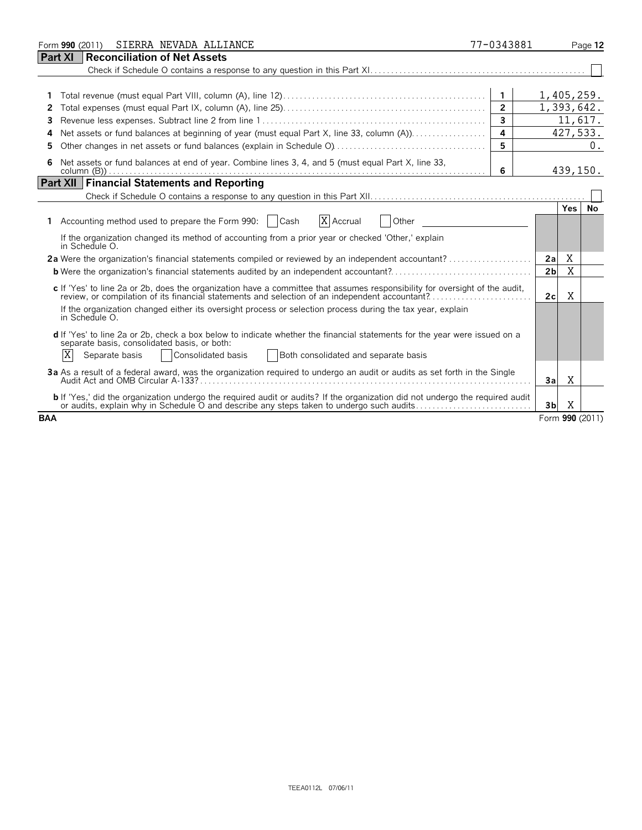| SIERRA NEVADA ALLIANCE<br>Form 990 (2011)                                                                                                                                                                                                                                                                                                                                                                                                                                                                                                                                                                                                                                                                                                                                                                                                                                                                                                                                                                                                      | 77-0343881                                                            |                                   |                     | Page 12 |
|------------------------------------------------------------------------------------------------------------------------------------------------------------------------------------------------------------------------------------------------------------------------------------------------------------------------------------------------------------------------------------------------------------------------------------------------------------------------------------------------------------------------------------------------------------------------------------------------------------------------------------------------------------------------------------------------------------------------------------------------------------------------------------------------------------------------------------------------------------------------------------------------------------------------------------------------------------------------------------------------------------------------------------------------|-----------------------------------------------------------------------|-----------------------------------|---------------------|---------|
| Part XI<br><b>Reconciliation of Net Assets</b>                                                                                                                                                                                                                                                                                                                                                                                                                                                                                                                                                                                                                                                                                                                                                                                                                                                                                                                                                                                                 |                                                                       |                                   |                     |         |
| 1<br>2<br>3<br>4                                                                                                                                                                                                                                                                                                                                                                                                                                                                                                                                                                                                                                                                                                                                                                                                                                                                                                                                                                                                                               | $\overline{1}$<br>$\overline{2}$<br>$\overline{\mathbf{3}}$<br>4<br>5 | 1,405,259.<br>1,393,642.          | 11,617.<br>427,533. | 0.      |
| Net assets or fund balances at end of year. Combine lines 3, 4, and 5 (must equal Part X, line 33,<br>6                                                                                                                                                                                                                                                                                                                                                                                                                                                                                                                                                                                                                                                                                                                                                                                                                                                                                                                                        | 6                                                                     |                                   | 439,150.            |         |
| <b>Part XII Financial Statements and Reporting</b>                                                                                                                                                                                                                                                                                                                                                                                                                                                                                                                                                                                                                                                                                                                                                                                                                                                                                                                                                                                             |                                                                       |                                   |                     |         |
| X Accrual<br>Other<br>1 Accounting method used to prepare the Form 990:   Cash<br>If the organization changed its method of accounting from a prior year or checked 'Other,' explain<br>in Schedule O.<br>2a Were the organization's financial statements compiled or reviewed by an independent accountant?<br><b>b</b> Were the organization's financial statements audited by an independent accountant?<br>c If 'Yes' to line 2a or 2b, does the organization have a committee that assumes responsibility for oversight of the audit,<br>review, or compilation of its financial statements and selection of an independent accountant?<br>If the organization changed either its oversight process or selection process during the tax year, explain<br>in Schedule O.<br>d If 'Yes' to line 2a or 2b, check a box below to indicate whether the financial statements for the year were issued on a<br>separate basis, consolidated basis, or both:<br>X<br>Separate basis<br>Consolidated basis<br>Both consolidated and separate basis |                                                                       | 2a<br>2 <sub>b</sub><br>2c        | Yes.<br>Χ<br>X<br>X | No.     |
| 3a As a result of a federal award, was the organization required to undergo an audit or audits as set forth in the Single                                                                                                                                                                                                                                                                                                                                                                                                                                                                                                                                                                                                                                                                                                                                                                                                                                                                                                                      |                                                                       | 3al                               | X                   |         |
| <b>b</b> If 'Yes,' did the organization undergo the required audit or audits? If the organization did not undergo the required audit<br>or audits, explain why in Schedule O and describe any steps taken to undergo such audits<br><b>BAA</b>                                                                                                                                                                                                                                                                                                                                                                                                                                                                                                                                                                                                                                                                                                                                                                                                 |                                                                       | 3 <sub>b</sub><br>Form 990 (2011) | X                   |         |
|                                                                                                                                                                                                                                                                                                                                                                                                                                                                                                                                                                                                                                                                                                                                                                                                                                                                                                                                                                                                                                                |                                                                       |                                   |                     |         |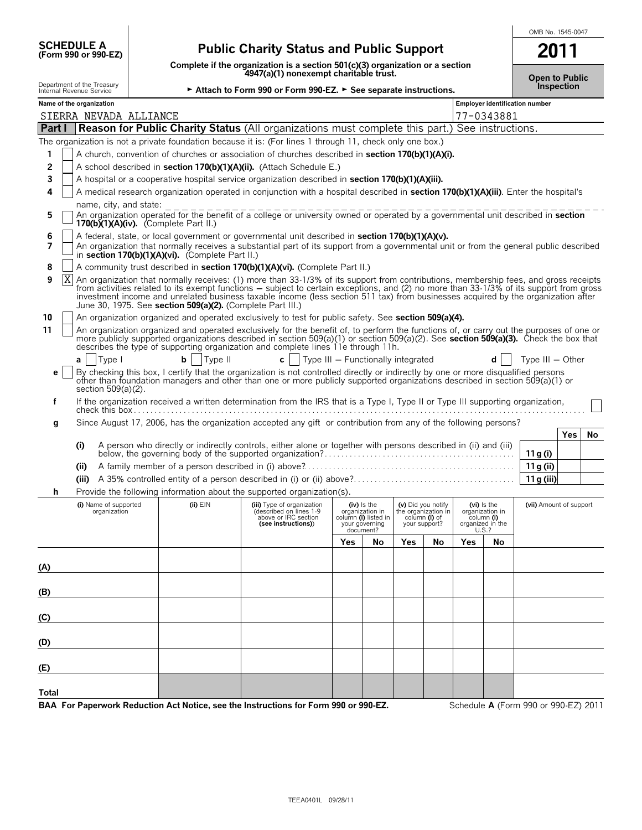| <b>SCHEDULE A</b>                |  |  |
|----------------------------------|--|--|
| $T_{\rm C}$ rm 990 or 990. $F$ 7 |  |  |

## **(Form 990 or 990-EZ) Public Charity Status and Public Support**

**Complete if the organization is a section 501(c)(3) organization or a section 4947(a)(1) nonexempt charitable trust.**

| OMB No. 1545-0047 |  |
|-------------------|--|
|                   |  |

|                                                                                                                                                                                                                                                                                                                                                                                                                                                                                              | $1.112$ and $1.111$ and $1.111$ and $1.111$ and $1.111$ and $1.111$ and $1.111$ and $1.111$ and $1.111$ and $1.111$ and $1.111$ and $1.111$ and $1.111$ and $1.111$ and $1.111$ and $1.111$ and $1.111$ and $1.111$ and $1.11$<br>4947(a)(1) nonexempt charitable trust. |                                                                                                                                                                                                                 |                                                                                                                                                                                                                                                                                                |                                                            |                                                                                                                                                                                                                                                                                                                                                                                                                      |     |                         | <b>Open to Public</b> |    |                                |            |                                      |     |    |
|----------------------------------------------------------------------------------------------------------------------------------------------------------------------------------------------------------------------------------------------------------------------------------------------------------------------------------------------------------------------------------------------------------------------------------------------------------------------------------------------|--------------------------------------------------------------------------------------------------------------------------------------------------------------------------------------------------------------------------------------------------------------------------|-----------------------------------------------------------------------------------------------------------------------------------------------------------------------------------------------------------------|------------------------------------------------------------------------------------------------------------------------------------------------------------------------------------------------------------------------------------------------------------------------------------------------|------------------------------------------------------------|----------------------------------------------------------------------------------------------------------------------------------------------------------------------------------------------------------------------------------------------------------------------------------------------------------------------------------------------------------------------------------------------------------------------|-----|-------------------------|-----------------------|----|--------------------------------|------------|--------------------------------------|-----|----|
|                                                                                                                                                                                                                                                                                                                                                                                                                                                                                              |                                                                                                                                                                                                                                                                          | Department of the Treasury<br>Internal Revenue Service                                                                                                                                                          |                                                                                                                                                                                                                                                                                                |                                                            | Attach to Form 990 or Form 990-EZ. > See separate instructions.                                                                                                                                                                                                                                                                                                                                                      |     |                         |                       |    | Inspection                     |            |                                      |     |    |
|                                                                                                                                                                                                                                                                                                                                                                                                                                                                                              |                                                                                                                                                                                                                                                                          | Name of the organization                                                                                                                                                                                        |                                                                                                                                                                                                                                                                                                |                                                            |                                                                                                                                                                                                                                                                                                                                                                                                                      |     |                         |                       |    | Employer identification number |            |                                      |     |    |
|                                                                                                                                                                                                                                                                                                                                                                                                                                                                                              |                                                                                                                                                                                                                                                                          | SIERRA NEVADA ALLIANCE                                                                                                                                                                                          |                                                                                                                                                                                                                                                                                                |                                                            |                                                                                                                                                                                                                                                                                                                                                                                                                      |     |                         |                       |    |                                | 77-0343881 |                                      |     |    |
| Part I                                                                                                                                                                                                                                                                                                                                                                                                                                                                                       |                                                                                                                                                                                                                                                                          |                                                                                                                                                                                                                 |                                                                                                                                                                                                                                                                                                |                                                            | <b>Reason for Public Charity Status (All organizations must complete this part.) See instructions.</b>                                                                                                                                                                                                                                                                                                               |     |                         |                       |    |                                |            |                                      |     |    |
|                                                                                                                                                                                                                                                                                                                                                                                                                                                                                              |                                                                                                                                                                                                                                                                          |                                                                                                                                                                                                                 |                                                                                                                                                                                                                                                                                                |                                                            | The organization is not a private foundation because it is: (For lines 1 through 11, check only one box.)                                                                                                                                                                                                                                                                                                            |     |                         |                       |    |                                |            |                                      |     |    |
| 1                                                                                                                                                                                                                                                                                                                                                                                                                                                                                            |                                                                                                                                                                                                                                                                          |                                                                                                                                                                                                                 |                                                                                                                                                                                                                                                                                                |                                                            | A church, convention of churches or association of churches described in section 170(b)(1)(A)(i).                                                                                                                                                                                                                                                                                                                    |     |                         |                       |    |                                |            |                                      |     |    |
| 2                                                                                                                                                                                                                                                                                                                                                                                                                                                                                            |                                                                                                                                                                                                                                                                          |                                                                                                                                                                                                                 |                                                                                                                                                                                                                                                                                                |                                                            | A school described in section 170(b)(1)(A)(ii). (Attach Schedule E.)                                                                                                                                                                                                                                                                                                                                                 |     |                         |                       |    |                                |            |                                      |     |    |
| 3                                                                                                                                                                                                                                                                                                                                                                                                                                                                                            |                                                                                                                                                                                                                                                                          |                                                                                                                                                                                                                 |                                                                                                                                                                                                                                                                                                |                                                            | A hospital or a cooperative hospital service organization described in section 170(b)(1)(A)(iii).                                                                                                                                                                                                                                                                                                                    |     |                         |                       |    |                                |            |                                      |     |    |
| 4                                                                                                                                                                                                                                                                                                                                                                                                                                                                                            |                                                                                                                                                                                                                                                                          |                                                                                                                                                                                                                 |                                                                                                                                                                                                                                                                                                |                                                            | A medical research organization operated in conjunction with a hospital described in section 170(b)(1)(A)(iii). Enter the hospital's                                                                                                                                                                                                                                                                                 |     |                         |                       |    |                                |            |                                      |     |    |
| 5                                                                                                                                                                                                                                                                                                                                                                                                                                                                                            |                                                                                                                                                                                                                                                                          | name, city, and state:<br>An organization operated for the benefit of a college or university owned or operated by a governmental unit described in <b>section</b><br>170(b) $(1)(A)(iv)$ . (Complete Part II.) |                                                                                                                                                                                                                                                                                                |                                                            |                                                                                                                                                                                                                                                                                                                                                                                                                      |     |                         |                       |    |                                |            |                                      |     |    |
| 6<br>7                                                                                                                                                                                                                                                                                                                                                                                                                                                                                       |                                                                                                                                                                                                                                                                          |                                                                                                                                                                                                                 | A federal, state, or local government or governmental unit described in section 170(b)(1)(A)(v).<br>An organization that normally receives a substantial part of its support from a governmental unit or from the general public described<br>in section 170(b)(1)(A)(vi). (Complete Part II.) |                                                            |                                                                                                                                                                                                                                                                                                                                                                                                                      |     |                         |                       |    |                                |            |                                      |     |    |
| 8                                                                                                                                                                                                                                                                                                                                                                                                                                                                                            |                                                                                                                                                                                                                                                                          |                                                                                                                                                                                                                 |                                                                                                                                                                                                                                                                                                |                                                            | A community trust described in section 170(b)(1)(A)(vi). (Complete Part II.)                                                                                                                                                                                                                                                                                                                                         |     |                         |                       |    |                                |            |                                      |     |    |
| 9                                                                                                                                                                                                                                                                                                                                                                                                                                                                                            | Χ                                                                                                                                                                                                                                                                        |                                                                                                                                                                                                                 |                                                                                                                                                                                                                                                                                                | June 30, 1975. See section 509(a)(2). (Complete Part III.) | An organization that normally receives: (1) more than 33-1/3% of its support from contributions, membership fees, and gross receipts<br>from activities related to its exempt functions – subject to certain exceptions, and (2) no more than 33-1/3% of its support from gross<br>investment income and unrelated business taxable income (less section 511 tax) from businesses acquired by the organization after |     |                         |                       |    |                                |            |                                      |     |    |
| 10                                                                                                                                                                                                                                                                                                                                                                                                                                                                                           |                                                                                                                                                                                                                                                                          |                                                                                                                                                                                                                 |                                                                                                                                                                                                                                                                                                |                                                            | An organization organized and operated exclusively to test for public safety. See section 509(a)(4).                                                                                                                                                                                                                                                                                                                 |     |                         |                       |    |                                |            |                                      |     |    |
| 11                                                                                                                                                                                                                                                                                                                                                                                                                                                                                           |                                                                                                                                                                                                                                                                          |                                                                                                                                                                                                                 |                                                                                                                                                                                                                                                                                                |                                                            | An organization organized and operated exclusively for the benefit of, to perform the functions of, or carry out the purposes of one or<br>more publicly supported organizations described in section 509(a)(1) or section 509(a)(2). See section 509(a)(3). Check the box that<br>describes the type of supporting organization and complete lines 11e through 11h.                                                 |     |                         |                       |    |                                |            |                                      |     |    |
|                                                                                                                                                                                                                                                                                                                                                                                                                                                                                              | a                                                                                                                                                                                                                                                                        | Type I                                                                                                                                                                                                          |                                                                                                                                                                                                                                                                                                | Type II<br>b                                               | $\mathbf{c}$   Type III – Functionally integrated                                                                                                                                                                                                                                                                                                                                                                    |     |                         |                       |    |                                | d          | Type $III - Other$                   |     |    |
| е                                                                                                                                                                                                                                                                                                                                                                                                                                                                                            |                                                                                                                                                                                                                                                                          | section 509(a)(2).                                                                                                                                                                                              |                                                                                                                                                                                                                                                                                                |                                                            | By checking this box, I certify that the organization is not controlled directly or indirectly by one or more disqualified persons other than foundation managers and other than one or more publicly supported organizations                                                                                                                                                                                        |     |                         |                       |    |                                |            |                                      |     |    |
| f                                                                                                                                                                                                                                                                                                                                                                                                                                                                                            |                                                                                                                                                                                                                                                                          |                                                                                                                                                                                                                 |                                                                                                                                                                                                                                                                                                |                                                            | If the organization received a written determination from the IRS that is a Type I, Type II or Type III supporting organization,                                                                                                                                                                                                                                                                                     |     |                         |                       |    |                                |            |                                      |     |    |
| g                                                                                                                                                                                                                                                                                                                                                                                                                                                                                            |                                                                                                                                                                                                                                                                          |                                                                                                                                                                                                                 |                                                                                                                                                                                                                                                                                                |                                                            | Since August 17, 2006, has the organization accepted any gift or contribution from any of the following persons?                                                                                                                                                                                                                                                                                                     |     |                         |                       |    |                                |            |                                      |     |    |
|                                                                                                                                                                                                                                                                                                                                                                                                                                                                                              |                                                                                                                                                                                                                                                                          |                                                                                                                                                                                                                 |                                                                                                                                                                                                                                                                                                |                                                            |                                                                                                                                                                                                                                                                                                                                                                                                                      |     |                         |                       |    |                                |            |                                      | Yes | No |
|                                                                                                                                                                                                                                                                                                                                                                                                                                                                                              | (i)                                                                                                                                                                                                                                                                      |                                                                                                                                                                                                                 |                                                                                                                                                                                                                                                                                                |                                                            | A person who directly or indirectly controls, either alone or together with persons described in (ii) and (iii)                                                                                                                                                                                                                                                                                                      |     |                         |                       |    |                                |            | 11 g (i)                             |     |    |
|                                                                                                                                                                                                                                                                                                                                                                                                                                                                                              | (ii)                                                                                                                                                                                                                                                                     |                                                                                                                                                                                                                 |                                                                                                                                                                                                                                                                                                |                                                            |                                                                                                                                                                                                                                                                                                                                                                                                                      |     |                         |                       |    |                                |            | 11g (ii)                             |     |    |
|                                                                                                                                                                                                                                                                                                                                                                                                                                                                                              | (iii)                                                                                                                                                                                                                                                                    |                                                                                                                                                                                                                 |                                                                                                                                                                                                                                                                                                |                                                            |                                                                                                                                                                                                                                                                                                                                                                                                                      |     |                         |                       |    |                                |            | 11 g (iii)                           |     |    |
| h                                                                                                                                                                                                                                                                                                                                                                                                                                                                                            |                                                                                                                                                                                                                                                                          |                                                                                                                                                                                                                 |                                                                                                                                                                                                                                                                                                |                                                            |                                                                                                                                                                                                                                                                                                                                                                                                                      |     |                         |                       |    |                                |            |                                      |     |    |
| Provide the following information about the supported organization(s).<br>$(ii)$ $EIN$<br>(v) Did you notify<br>the organization in<br>(i) Name of supported<br>(iii) Type of organization<br>(iv) Is the<br>(vi) is the<br>(described on lines 1-9<br>organization in<br>organization in<br>organization<br>above or IRC section<br>column (i) listed in<br>column (i) of<br>column (i)<br>organized in the<br>(see instructions))<br>your governing<br>your support?<br>document?<br>U.S.? |                                                                                                                                                                                                                                                                          |                                                                                                                                                                                                                 |                                                                                                                                                                                                                                                                                                |                                                            |                                                                                                                                                                                                                                                                                                                                                                                                                      |     | (vii) Amount of support |                       |    |                                |            |                                      |     |    |
|                                                                                                                                                                                                                                                                                                                                                                                                                                                                                              |                                                                                                                                                                                                                                                                          |                                                                                                                                                                                                                 |                                                                                                                                                                                                                                                                                                |                                                            |                                                                                                                                                                                                                                                                                                                                                                                                                      | Yes | No                      | Yes <sub>2</sub>      | No | Yes                            | No         |                                      |     |    |
|                                                                                                                                                                                                                                                                                                                                                                                                                                                                                              |                                                                                                                                                                                                                                                                          |                                                                                                                                                                                                                 |                                                                                                                                                                                                                                                                                                |                                                            |                                                                                                                                                                                                                                                                                                                                                                                                                      |     |                         |                       |    |                                |            |                                      |     |    |
| (A)                                                                                                                                                                                                                                                                                                                                                                                                                                                                                          |                                                                                                                                                                                                                                                                          |                                                                                                                                                                                                                 |                                                                                                                                                                                                                                                                                                |                                                            |                                                                                                                                                                                                                                                                                                                                                                                                                      |     |                         |                       |    |                                |            |                                      |     |    |
| (B)                                                                                                                                                                                                                                                                                                                                                                                                                                                                                          |                                                                                                                                                                                                                                                                          |                                                                                                                                                                                                                 |                                                                                                                                                                                                                                                                                                |                                                            |                                                                                                                                                                                                                                                                                                                                                                                                                      |     |                         |                       |    |                                |            |                                      |     |    |
| $\overline{c}$                                                                                                                                                                                                                                                                                                                                                                                                                                                                               |                                                                                                                                                                                                                                                                          |                                                                                                                                                                                                                 |                                                                                                                                                                                                                                                                                                |                                                            |                                                                                                                                                                                                                                                                                                                                                                                                                      |     |                         |                       |    |                                |            |                                      |     |    |
| (D)                                                                                                                                                                                                                                                                                                                                                                                                                                                                                          |                                                                                                                                                                                                                                                                          |                                                                                                                                                                                                                 |                                                                                                                                                                                                                                                                                                |                                                            |                                                                                                                                                                                                                                                                                                                                                                                                                      |     |                         |                       |    |                                |            |                                      |     |    |
| (E)                                                                                                                                                                                                                                                                                                                                                                                                                                                                                          |                                                                                                                                                                                                                                                                          |                                                                                                                                                                                                                 |                                                                                                                                                                                                                                                                                                |                                                            |                                                                                                                                                                                                                                                                                                                                                                                                                      |     |                         |                       |    |                                |            |                                      |     |    |
| Total                                                                                                                                                                                                                                                                                                                                                                                                                                                                                        |                                                                                                                                                                                                                                                                          |                                                                                                                                                                                                                 |                                                                                                                                                                                                                                                                                                |                                                            |                                                                                                                                                                                                                                                                                                                                                                                                                      |     |                         |                       |    |                                |            |                                      |     |    |
|                                                                                                                                                                                                                                                                                                                                                                                                                                                                                              |                                                                                                                                                                                                                                                                          |                                                                                                                                                                                                                 |                                                                                                                                                                                                                                                                                                |                                                            | BAA For Paperwork Reduction Act Notice, see the Instructions for Form 990 or 990-EZ.                                                                                                                                                                                                                                                                                                                                 |     |                         |                       |    |                                |            | Schedule A (Form 990 or 990-EZ) 2011 |     |    |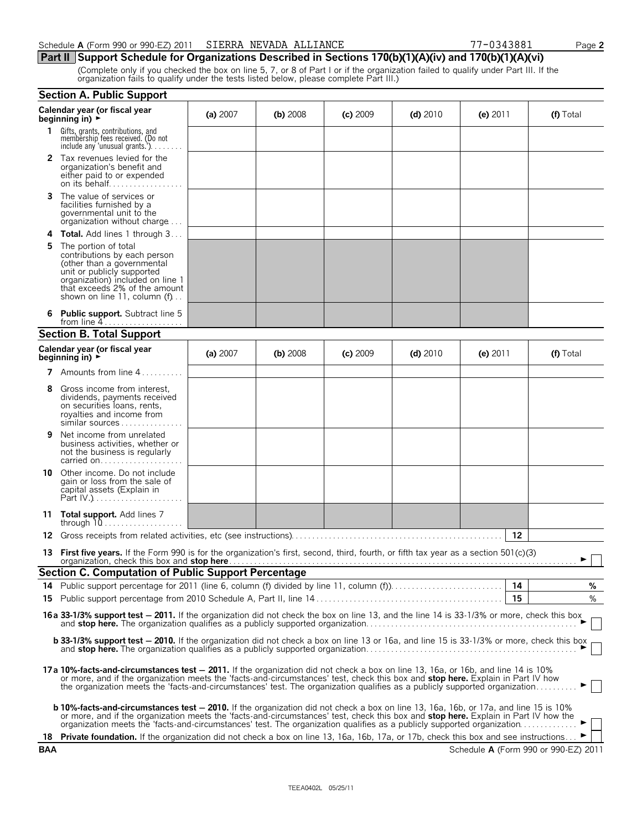#### **Part II Support Schedule for Organizations Described in Sections 170(b)(1)(A)(iv) and 170(b)(1)(A)(vi)**

(Complete only if you checked the box on line 5, 7, or 8 of Part I or if the organization failed to qualify under Part III. If the organization fails to qualify under the tests listed below, please complete Part III.)

|     | <b>Section A. Public Support</b>                                                                                                                                                                                                                                                                                                                                                                     |          |            |            |            |            |                                      |
|-----|------------------------------------------------------------------------------------------------------------------------------------------------------------------------------------------------------------------------------------------------------------------------------------------------------------------------------------------------------------------------------------------------------|----------|------------|------------|------------|------------|--------------------------------------|
|     | Calendar year (or fiscal year<br>beginning in) $\rightarrow$                                                                                                                                                                                                                                                                                                                                         | (a) 2007 | (b) $2008$ | $(c)$ 2009 | (d) $2010$ | (e) $2011$ | (f) Total                            |
| 1.  | Gifts, grants, contributions, and<br>membership fees received. (Do not<br>include any 'unusual grants.'). $\ldots$                                                                                                                                                                                                                                                                                   |          |            |            |            |            |                                      |
|     | 2 Tax revenues levied for the<br>organization's benefit and<br>either paid to or expended                                                                                                                                                                                                                                                                                                            |          |            |            |            |            |                                      |
| 3.  | The value of services or<br>facilities furnished by a<br>governmental unit to the<br>organization without charge                                                                                                                                                                                                                                                                                     |          |            |            |            |            |                                      |
| 4   | <b>Total.</b> Add lines 1 through 3                                                                                                                                                                                                                                                                                                                                                                  |          |            |            |            |            |                                      |
| 5   | The portion of total<br>contributions by each person<br>(other than a governmental<br>unit or publicly supported<br>organization) included on line 1<br>that exceeds 2% of the amount<br>shown on line 11, column $(f)$                                                                                                                                                                              |          |            |            |            |            |                                      |
|     | <b>Public support.</b> Subtract line 5<br>from line $4$                                                                                                                                                                                                                                                                                                                                              |          |            |            |            |            |                                      |
|     | <b>Section B. Total Support</b>                                                                                                                                                                                                                                                                                                                                                                      |          |            |            |            |            |                                      |
|     | Calendar year (or fiscal year<br>beginning in) $\blacktriangleright$                                                                                                                                                                                                                                                                                                                                 | (a) 2007 | (b) $2008$ | $(c)$ 2009 | (d) $2010$ | (e) $2011$ | (f) Total                            |
|     | <b>7</b> Amounts from line $4 \ldots \ldots$                                                                                                                                                                                                                                                                                                                                                         |          |            |            |            |            |                                      |
| 8   | Gross income from interest,<br>dividends, payments received<br>on securities loans, rents,<br>royalties and income from<br>similar sources                                                                                                                                                                                                                                                           |          |            |            |            |            |                                      |
| 9   | Net income from unrelated<br>business activities, whether or<br>not the business is regularly<br>carried on                                                                                                                                                                                                                                                                                          |          |            |            |            |            |                                      |
| 10  | Other income. Do not include<br>gain or loss from the sale of<br>capital assets (Explain in<br>Part $[V_1, \ldots, \ldots, \ldots, \ldots]$                                                                                                                                                                                                                                                          |          |            |            |            |            |                                      |
|     | 11 Total support. Add lines 7<br>through $10$                                                                                                                                                                                                                                                                                                                                                        |          |            |            |            |            |                                      |
| 12  |                                                                                                                                                                                                                                                                                                                                                                                                      |          |            |            |            | 12         |                                      |
|     | 13 First five years. If the Form 990 is for the organization's first, second, third, fourth, or fifth tax year as a section 501(c)(3)<br>organization, check this box and stop here Mathematic and the control of the control of the control of the control of the control of the control of the control of the control of the control of the control of the control of                              |          |            |            |            |            |                                      |
|     | Section C. Computation of Public Support Percentage                                                                                                                                                                                                                                                                                                                                                  |          |            |            |            |            |                                      |
| 14  | Public support percentage for 2011 (line 6, column (f) divided by line 11, column (f))                                                                                                                                                                                                                                                                                                               |          |            |            |            | 14<br>15   | %<br>%                               |
| 15  |                                                                                                                                                                                                                                                                                                                                                                                                      |          |            |            |            |            |                                      |
|     | 16a 33-1/3% support test - 2011. If the organization did not check the box on line 13, and the line 14 is 33-1/3% or more, check this box                                                                                                                                                                                                                                                            |          |            |            |            |            |                                      |
|     | <b>b 33-1/3% support test - 2010.</b> If the organization did not check a box on line 13 or 16a, and line 15 is 33-1/3% or more, check this box                                                                                                                                                                                                                                                      |          |            |            |            |            |                                      |
|     | 17a 10%-facts-and-circumstances test - 2011. If the organization did not check a box on line 13, 16a, or 16b, and line 14 is 10%<br>or more, and if the organization meets the 'facts-and-circumstances' test, check this box and stop here. Explain in Part IV how<br>the organization meets the 'facts-and-circumstances' test. The organization qualifies as a publicly supported organization    |          |            |            |            |            |                                      |
|     | b 10%-facts-and-circumstances test - 2010. If the organization did not check a box on line 13, 16a, 16b, or 17a, and line 15 is 10%<br>or more, and if the organization meets the 'facts-and-circumstances' test, check this box and stop here. Explain in Part IV how the<br>organization meets the 'facts-and-circumstances' test. The organization qualifies as a publicly supported organization |          |            |            |            |            |                                      |
| 18  | <b>Private foundation.</b> If the organization did not check a box on line 13, 16a, 16b, 17a, or 17b, check this box and see instructions                                                                                                                                                                                                                                                            |          |            |            |            |            |                                      |
| BAA |                                                                                                                                                                                                                                                                                                                                                                                                      |          |            |            |            |            | Schedule A (Form 990 or 990-EZ) 2011 |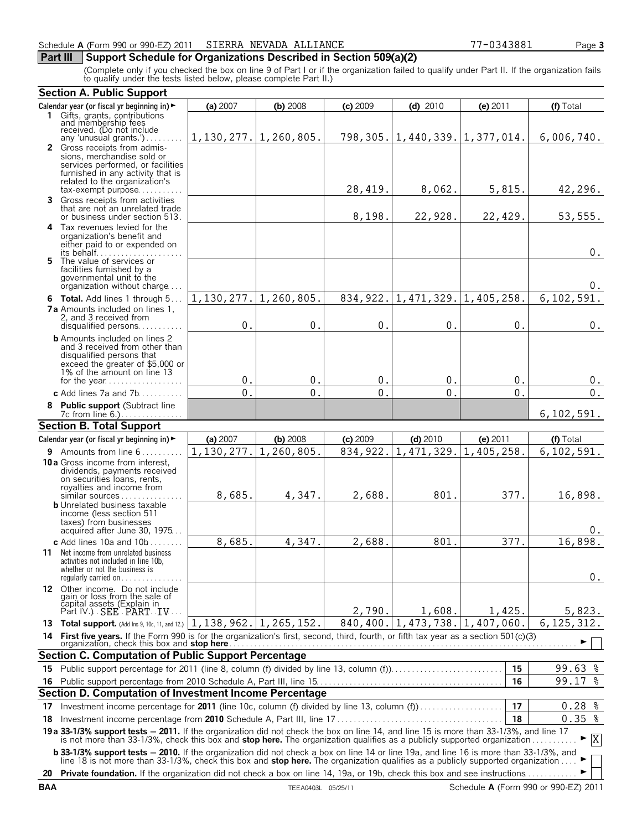#### **Part III** Support Schedule for Organizations Described in Section 509(a)(2)

(Complete only if you checked the box on line 9 of Part I or if the organization failed to qualify under Part II. If the organization fails to qualify under the tests listed below, please complete Part II.)

|    | <b>Section A. Public Support</b>                                                                                                                                                                                                                                                       |                             |            |                    |                                     |            |                  |
|----|----------------------------------------------------------------------------------------------------------------------------------------------------------------------------------------------------------------------------------------------------------------------------------------|-----------------------------|------------|--------------------|-------------------------------------|------------|------------------|
|    | Calendar year (or fiscal yr beginning in) ►                                                                                                                                                                                                                                            | (a) 2007                    | $(b)$ 2008 | $(c)$ 2009         | $(d)$ 2010                          | (e) 2011   | (f) Total        |
|    | 1 Gifts, grants, contributions<br>and membership fees<br>received. (Do not include                                                                                                                                                                                                     |                             |            |                    |                                     |            |                  |
|    | any 'unusual grants.')                                                                                                                                                                                                                                                                 | $1, 130, 277.$ 1, 260, 805. |            |                    | 798, 305. 1, 440, 339. 1, 377, 014. |            | 6,006,740.       |
|    | 2 Gross receipts from admis-<br>sions, merchandise sold or<br>services performed, or facilities<br>furnished in any activity that is<br>related to the organization's<br>$tax$ -exempt purpose                                                                                         |                             |            | 28,419.            | 8,062.                              | 5,815.     | 42,296.          |
|    | 3 Gross receipts from activities<br>that are not an unrelated trade                                                                                                                                                                                                                    |                             |            |                    |                                     |            |                  |
|    | or business under section 513.                                                                                                                                                                                                                                                         |                             |            | 8,198.             | 22,928.                             | 22,429.    | 53, 555.         |
|    | 4 Tax revenues levied for the<br>organization's benefit and<br>either paid to or expended on                                                                                                                                                                                           |                             |            |                    |                                     |            | $0$ .            |
|    | 5 The value of services or<br>facilities furnished by a<br>governmental unit to the<br>organization without charge                                                                                                                                                                     |                             |            |                    |                                     |            | 0.               |
|    | 6 Total. Add lines 1 through 5                                                                                                                                                                                                                                                         | 1,130,277.                  | 1,260,805. | 834,922.           | 1,471,329.                          | 1,405,258. | 6, 102, 591.     |
|    | <b>7a</b> Amounts included on lines 1,<br>2, and 3 received from<br>disqualified persons                                                                                                                                                                                               | 0.                          | $0$ .      | $\boldsymbol{0}$ . | $0$ .                               | $0$ .      | $0$ .            |
|    | <b>b</b> Amounts included on lines 2<br>and 3 received from other than<br>disqualified persons that<br>exceed the greater of \$5,000 or<br>1% of the amount on line 13                                                                                                                 |                             |            |                    |                                     |            |                  |
|    | for the year                                                                                                                                                                                                                                                                           | 0.                          | 0.         | 0.                 | 0.                                  | 0.         | 0.               |
|    | c Add lines 7a and 7b                                                                                                                                                                                                                                                                  | 0.                          | 0.         | 0.                 | 0.                                  | 0.         | $\overline{0}$ . |
|    | 8 Public support (Subtract line                                                                                                                                                                                                                                                        |                             |            |                    |                                     |            | 6,102,591.       |
|    | <b>Section B. Total Support</b>                                                                                                                                                                                                                                                        |                             |            |                    |                                     |            |                  |
|    | Calendar year (or fiscal yr beginning in) ►                                                                                                                                                                                                                                            | (a) 2007                    | $(b)$ 2008 | $(c)$ 2009         | $(d)$ 2010                          | (e) 2011   | (f) Total        |
|    | 9 Amounts from line 6                                                                                                                                                                                                                                                                  | 1,130,277.                  | 1,260,805. | 834, 922.          | 1, 471, 329.                        | 1,405,258. | 6, 102, 591.     |
|    | <b>10a</b> Gross income from interest,<br>dividends, payments received<br>on securities loans, rents,<br>royalties and income from<br>similar sources                                                                                                                                  | 8,685.                      | 4,347.     | 2,688.             | 801.                                | 377.       | 16,898.          |
|    | <b>b</b> Unrelated business taxable<br>income (less section 511<br>taxes) from businesses<br>acquired after June 30, 1975                                                                                                                                                              |                             |            |                    |                                     |            | 0.               |
|    | c Add lines $10a$ and $10b$                                                                                                                                                                                                                                                            | 8,685.                      | 4,347.     | 2,688.             | 801.                                | 377.       | 16,898.          |
|    | 11 Net income from unrelated business<br>activities not included in line 10b,<br>whether or not the business is<br>regularly carried on $\dots\dots\dots$                                                                                                                              |                             |            |                    |                                     |            | 0.               |
|    | 12 Other income. Do not include<br>gain or loss from the sale of<br>capital assets (Explain in<br>Part IV.) SEE PART IV                                                                                                                                                                |                             |            | 2,790.             | 1,608.                              | 1,425.     | 5,823.           |
|    | 13 Total support. (Add Ins 9, 10c, 11, and 12.) 1, 138, 962. 1, 265, 152.                                                                                                                                                                                                              |                             |            | 840,400.           | 1,473,738.                          | 1,407,060  | 6, 125, 312.     |
|    |                                                                                                                                                                                                                                                                                        |                             |            |                    |                                     |            |                  |
|    | <b>Section C. Computation of Public Support Percentage</b>                                                                                                                                                                                                                             |                             |            |                    |                                     |            |                  |
|    |                                                                                                                                                                                                                                                                                        |                             |            |                    |                                     | 15         | $99.63$ %        |
|    | 15 Public support percentage for 2011 (line 8, column (f) divided by line 13, column (f)<br>16                                                                                                                                                                                         |                             |            |                    |                                     |            |                  |
|    | Section D. Computation of Investment Income Percentage                                                                                                                                                                                                                                 |                             |            |                    |                                     |            | 99.17 %          |
| 17 | Investment income percentage for 2011 (line 10c, column (f) divided by line 13, column (f)                                                                                                                                                                                             |                             |            |                    |                                     | 17         | $0.28$ %         |
| 18 |                                                                                                                                                                                                                                                                                        |                             |            |                    |                                     | 18         | $0.35$ %         |
|    | 19a 33-1/3% support tests - 2011. If the organization did not check the box on line 14, and line 15 is more than 33-1/3%, and line 17<br>is not more than 33-1/3%, check this box and stop here. The organization qualifies as a publicly supported organization                       |                             |            |                    |                                     |            | X                |
|    | <b>b 33-1/3% support tests - 2010.</b> If the organization did not check a box on line 14 or line 19a, and line 16 is more than 33-1/3%, and<br>line 18 is not more than 33-1/3%, check this box and <b>stop here.</b> The organization qualifies as a publicly supported organization |                             |            |                    |                                     |            |                  |
|    | 20 Private foundation. If the organization did not check a box on line 14, 19a, or 19b, check this box and see instructions                                                                                                                                                            |                             |            |                    |                                     |            |                  |